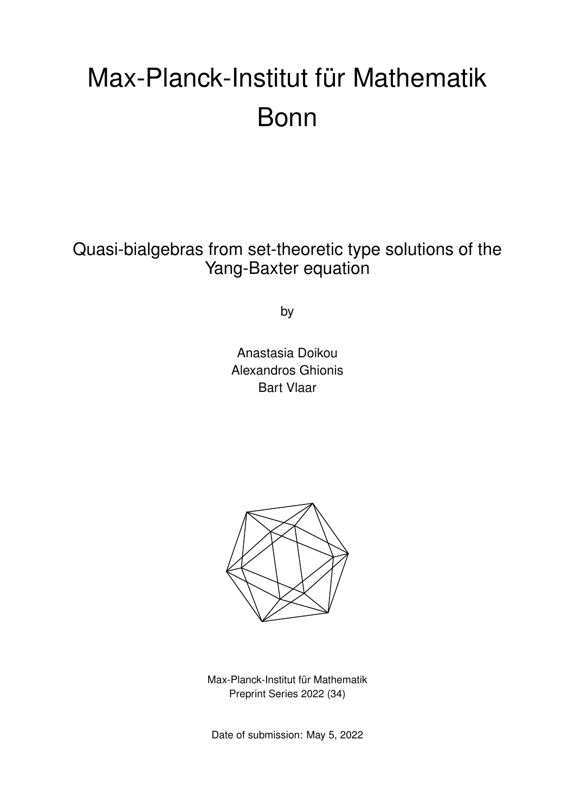# Max-Planck-Institut für Mathematik Bonn

Quasi-bialgebras from set-theoretic type solutions of the Yang-Baxter equation

by

Anastasia Doikou Alexandros Ghionis Bart Vlaar



Max-Planck-Institut für Mathematik Preprint Series 2022 (34)

Date of submission: May 5, 2022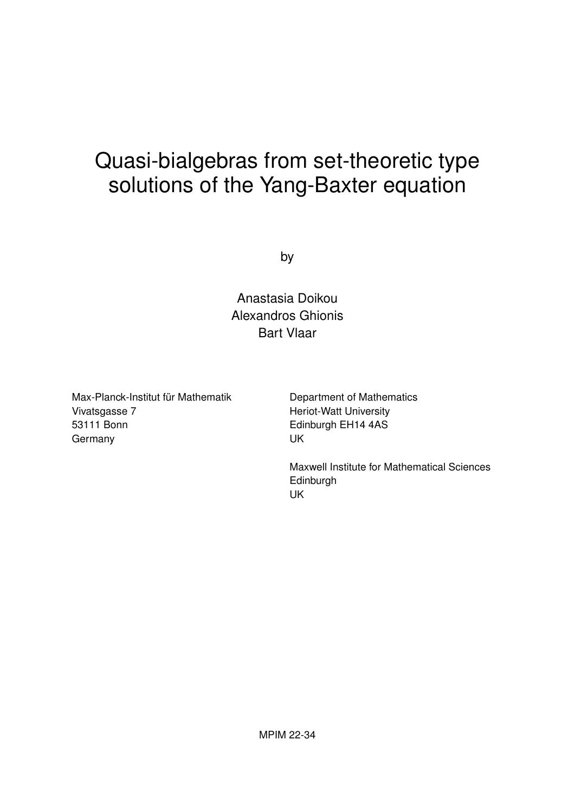# Quasi-bialgebras from set-theoretic type solutions of the Yang-Baxter equation

by

Anastasia Doikou Alexandros Ghionis Bart Vlaar

Max-Planck-Institut für Mathematik Vivatsgasse 7 53111 Bonn Germany

Department of Mathematics Heriot-Watt University Edinburgh EH14 4AS UK

Maxwell Institute for Mathematical Sciences **Edinburgh** UK

MPIM 22-34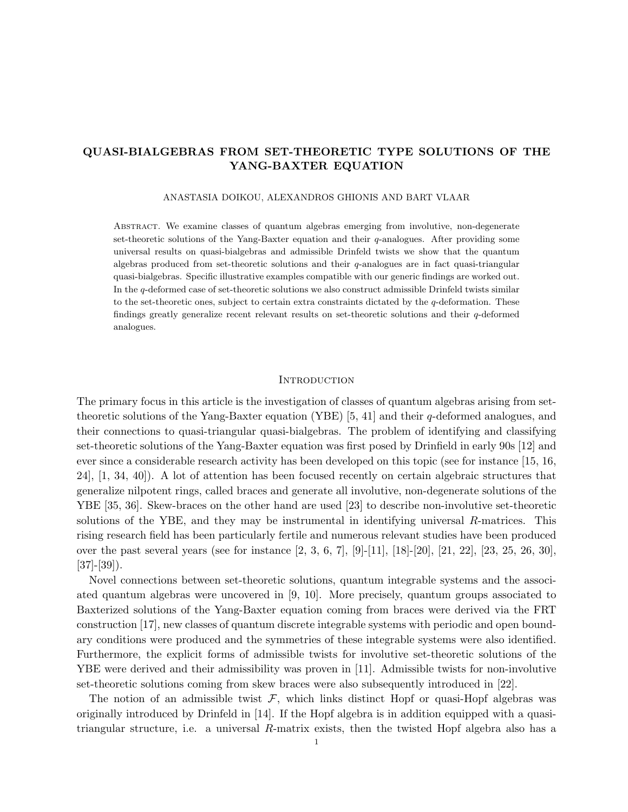### QUASI-BIALGEBRAS FROM SET-THEORETIC TYPE SOLUTIONS OF THE YANG-BAXTER EQUATION

#### ANASTASIA DOIKOU, ALEXANDROS GHIONIS AND BART VLAAR

Abstract. We examine classes of quantum algebras emerging from involutive, non-degenerate set-theoretic solutions of the Yang-Baxter equation and their  $q$ -analogues. After providing some universal results on quasi-bialgebras and admissible Drinfeld twists we show that the quantum algebras produced from set-theoretic solutions and their q-analogues are in fact quasi-triangular quasi-bialgebras. Specific illustrative examples compatible with our generic findings are worked out. In the q-deformed case of set-theoretic solutions we also construct admissible Drinfeld twists similar to the set-theoretic ones, subject to certain extra constraints dictated by the q-deformation. These findings greatly generalize recent relevant results on set-theoretic solutions and their q-deformed analogues.

#### **INTRODUCTION**

The primary focus in this article is the investigation of classes of quantum algebras arising from settheoretic solutions of the Yang-Baxter equation (YBE) [5, 41] and their q-deformed analogues, and their connections to quasi-triangular quasi-bialgebras. The problem of identifying and classifying set-theoretic solutions of the Yang-Baxter equation was first posed by Drinfield in early 90s [12] and ever since a considerable research activity has been developed on this topic (see for instance [15, 16, 24], [1, 34, 40]). A lot of attention has been focused recently on certain algebraic structures that generalize nilpotent rings, called braces and generate all involutive, non-degenerate solutions of the YBE [35, 36]. Skew-braces on the other hand are used [23] to describe non-involutive set-theoretic solutions of the YBE, and they may be instrumental in identifying universal R-matrices. This rising research field has been particularly fertile and numerous relevant studies have been produced over the past several years (see for instance [2, 3, 6, 7], [9]-[11], [18]-[20], [21, 22], [23, 25, 26, 30],  $[37]$ - $[39]$ ).

Novel connections between set-theoretic solutions, quantum integrable systems and the associated quantum algebras were uncovered in [9, 10]. More precisely, quantum groups associated to Baxterized solutions of the Yang-Baxter equation coming from braces were derived via the FRT construction [17], new classes of quantum discrete integrable systems with periodic and open boundary conditions were produced and the symmetries of these integrable systems were also identified. Furthermore, the explicit forms of admissible twists for involutive set-theoretic solutions of the YBE were derived and their admissibility was proven in [11]. Admissible twists for non-involutive set-theoretic solutions coming from skew braces were also subsequently introduced in [22].

The notion of an admissible twist  $\mathcal{F}$ , which links distinct Hopf or quasi-Hopf algebras was originally introduced by Drinfeld in [14]. If the Hopf algebra is in addition equipped with a quasitriangular structure, i.e. a universal R-matrix exists, then the twisted Hopf algebra also has a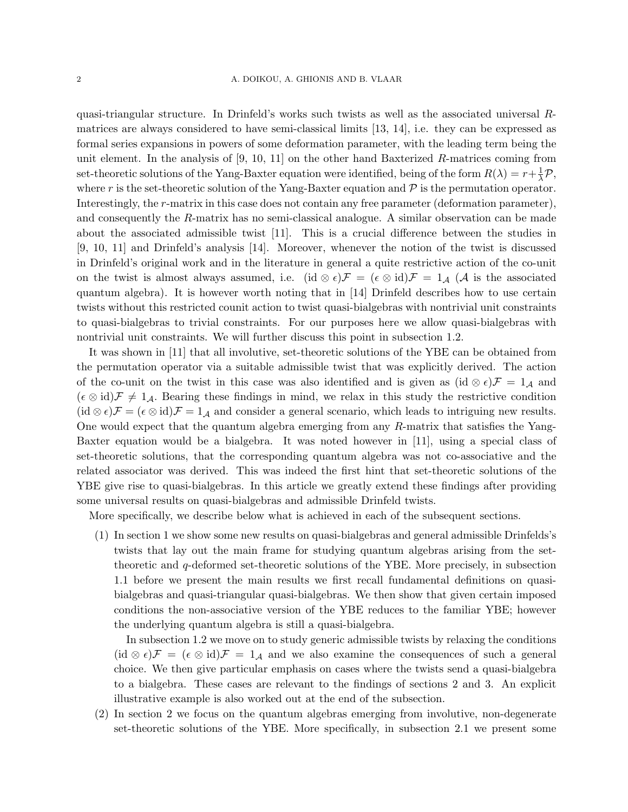quasi-triangular structure. In Drinfeld's works such twists as well as the associated universal Rmatrices are always considered to have semi-classical limits [13, 14], i.e. they can be expressed as formal series expansions in powers of some deformation parameter, with the leading term being the unit element. In the analysis of  $[9, 10, 11]$  on the other hand Baxterized R-matrices coming from set-theoretic solutions of the Yang-Baxter equation were identified, being of the form  $R(\lambda) = r + \frac{1}{\lambda} \mathcal{P}$ , where r is the set-theoretic solution of the Yang-Baxter equation and  $P$  is the permutation operator. Interestingly, the r-matrix in this case does not contain any free parameter (deformation parameter), and consequently the R-matrix has no semi-classical analogue. A similar observation can be made about the associated admissible twist [11]. This is a crucial difference between the studies in [9, 10, 11] and Drinfeld's analysis [14]. Moreover, whenever the notion of the twist is discussed in Drinfeld's original work and in the literature in general a quite restrictive action of the co-unit on the twist is almost always assumed, i.e. (id  $\otimes \epsilon$ ) $\mathcal{F} = (\epsilon \otimes id)\mathcal{F} = 1_{\mathcal{A}}(\mathcal{A}$  is the associated quantum algebra). It is however worth noting that in [14] Drinfeld describes how to use certain twists without this restricted counit action to twist quasi-bialgebras with nontrivial unit constraints to quasi-bialgebras to trivial constraints. For our purposes here we allow quasi-bialgebras with nontrivial unit constraints. We will further discuss this point in subsection 1.2.

It was shown in [11] that all involutive, set-theoretic solutions of the YBE can be obtained from the permutation operator via a suitable admissible twist that was explicitly derived. The action of the co-unit on the twist in this case was also identified and is given as (id ⊗  $\epsilon$ ) $\mathcal{F} = 1_{\mathcal{A}}$  and  $(\epsilon \otimes id)\mathcal{F} \neq 1_{\mathcal{A}}$ . Bearing these findings in mind, we relax in this study the restrictive condition  $(id \otimes \epsilon)\mathcal{F} = (\epsilon \otimes id)\mathcal{F} = 1_{\mathcal{A}}$  and consider a general scenario, which leads to intriguing new results. One would expect that the quantum algebra emerging from any R-matrix that satisfies the Yang-Baxter equation would be a bialgebra. It was noted however in [11], using a special class of set-theoretic solutions, that the corresponding quantum algebra was not co-associative and the related associator was derived. This was indeed the first hint that set-theoretic solutions of the YBE give rise to quasi-bialgebras. In this article we greatly extend these findings after providing some universal results on quasi-bialgebras and admissible Drinfeld twists.

More specifically, we describe below what is achieved in each of the subsequent sections.

(1) In section 1 we show some new results on quasi-bialgebras and general admissible Drinfelds's twists that lay out the main frame for studying quantum algebras arising from the settheoretic and q-deformed set-theoretic solutions of the YBE. More precisely, in subsection 1.1 before we present the main results we first recall fundamental definitions on quasibialgebras and quasi-triangular quasi-bialgebras. We then show that given certain imposed conditions the non-associative version of the YBE reduces to the familiar YBE; however the underlying quantum algebra is still a quasi-bialgebra.

In subsection 1.2 we move on to study generic admissible twists by relaxing the conditions  $(id \otimes \epsilon)\mathcal{F} = (\epsilon \otimes id)\mathcal{F} = 1_{\mathcal{A}}$  and we also examine the consequences of such a general choice. We then give particular emphasis on cases where the twists send a quasi-bialgebra to a bialgebra. These cases are relevant to the findings of sections 2 and 3. An explicit illustrative example is also worked out at the end of the subsection.

(2) In section 2 we focus on the quantum algebras emerging from involutive, non-degenerate set-theoretic solutions of the YBE. More specifically, in subsection 2.1 we present some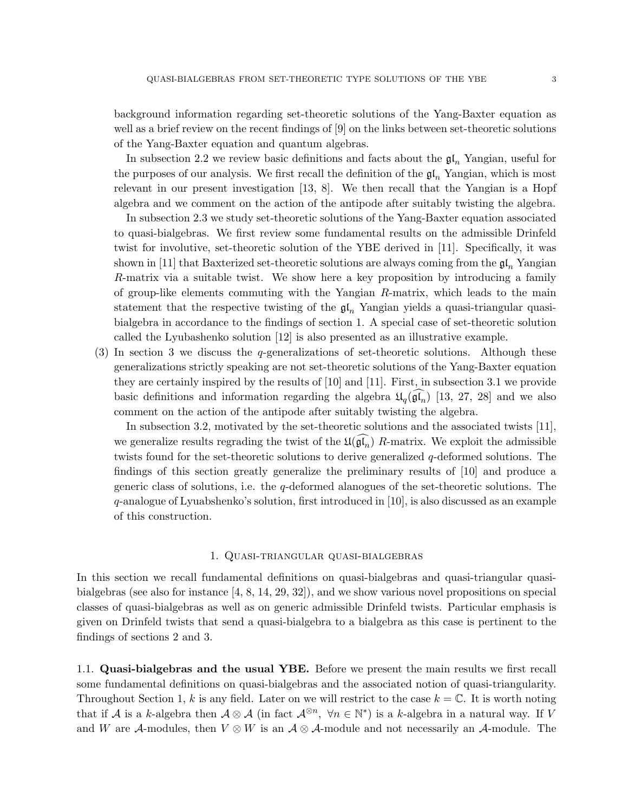background information regarding set-theoretic solutions of the Yang-Baxter equation as well as a brief review on the recent findings of [9] on the links between set-theoretic solutions of the Yang-Baxter equation and quantum algebras.

In subsection 2.2 we review basic definitions and facts about the  $\mathfrak{gl}_n$  Yangian, useful for the purposes of our analysis. We first recall the definition of the  $\mathfrak{gl}_n$  Yangian, which is most relevant in our present investigation [13, 8]. We then recall that the Yangian is a Hopf algebra and we comment on the action of the antipode after suitably twisting the algebra.

In subsection 2.3 we study set-theoretic solutions of the Yang-Baxter equation associated to quasi-bialgebras. We first review some fundamental results on the admissible Drinfeld twist for involutive, set-theoretic solution of the YBE derived in [11]. Specifically, it was shown in [11] that Baxterized set-theoretic solutions are always coming from the  $\mathfrak{gl}_n$  Yangian R-matrix via a suitable twist. We show here a key proposition by introducing a family of group-like elements commuting with the Yangian R-matrix, which leads to the main statement that the respective twisting of the  $\mathfrak{gl}_n$  Yangian yields a quasi-triangular quasibialgebra in accordance to the findings of section 1. A special case of set-theoretic solution called the Lyubashenko solution [12] is also presented as an illustrative example.

(3) In section 3 we discuss the q-generalizations of set-theoretic solutions. Although these generalizations strictly speaking are not set-theoretic solutions of the Yang-Baxter equation they are certainly inspired by the results of [10] and [11]. First, in subsection 3.1 we provide basic definitions and information regarding the algebra  $\mathfrak{U}_q(\mathfrak{gl}_n)$  [13, 27, 28] and we also comment on the action of the antipode after suitably twisting the algebra.

In subsection 3.2, motivated by the set-theoretic solutions and the associated twists [11], we generalize results regrading the twist of the  $\mathfrak{U}(\mathfrak{gl}_n)$  R-matrix. We exploit the admissible twists found for the set-theoretic solutions to derive generalized q-deformed solutions. The findings of this section greatly generalize the preliminary results of [10] and produce a generic class of solutions, i.e. the q-deformed alanogues of the set-theoretic solutions. The q-analogue of Lyuabshenko's solution, first introduced in [10], is also discussed as an example of this construction.

#### 1. Quasi-triangular quasi-bialgebras

In this section we recall fundamental definitions on quasi-bialgebras and quasi-triangular quasibialgebras (see also for instance [4, 8, 14, 29, 32]), and we show various novel propositions on special classes of quasi-bialgebras as well as on generic admissible Drinfeld twists. Particular emphasis is given on Drinfeld twists that send a quasi-bialgebra to a bialgebra as this case is pertinent to the findings of sections 2 and 3.

1.1. Quasi-bialgebras and the usual YBE. Before we present the main results we first recall some fundamental definitions on quasi-bialgebras and the associated notion of quasi-triangularity. Throughout Section 1, k is any field. Later on we will restrict to the case  $k = \mathbb{C}$ . It is worth noting that if A is a k-algebra then  $A \otimes A$  (in fact  $A^{\otimes n}$ ,  $\forall n \in \mathbb{N}^*$ ) is a k-algebra in a natural way. If V and W are A-modules, then  $V \otimes W$  is an  $A \otimes A$ -module and not necessarily an A-module. The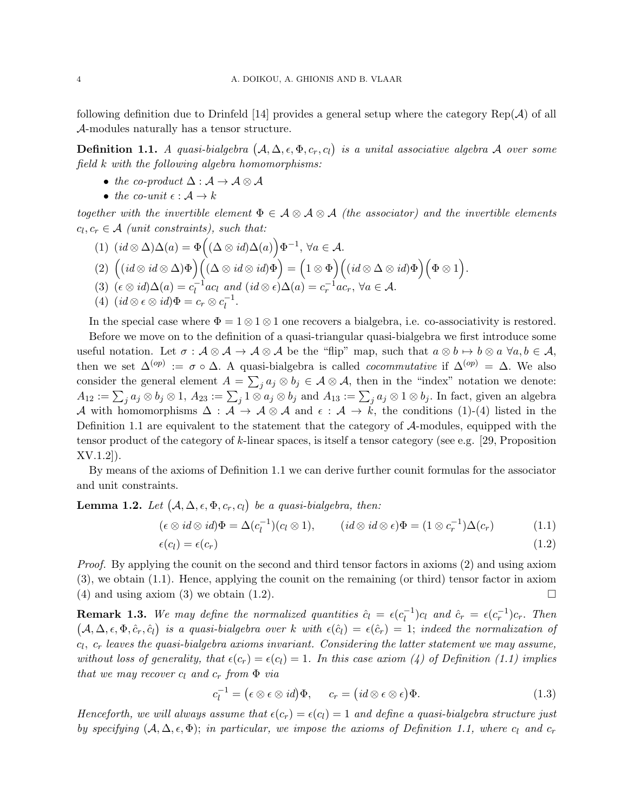following definition due to Drinfeld [14] provides a general setup where the category  $\text{Rep}(\mathcal{A})$  of all A-modules naturally has a tensor structure.

**Definition 1.1.** A quasi-bialgebra  $(A, \Delta, \epsilon, \Phi, c_r, c_l)$  is a unital associative algebra A over some field k with the following algebra homomorphisms:

- the co-product  $\Delta : \mathcal{A} \to \mathcal{A} \otimes \mathcal{A}$
- the co-unit  $\epsilon : A \rightarrow k$

together with the invertible element  $\Phi \in \mathcal{A} \otimes \mathcal{A} \otimes \mathcal{A}$  (the associator) and the invertible elements  $c_l, c_r \in \mathcal{A}$  (unit constraints), such that:

(1) 
$$
(id \otimes \Delta)\Delta(a) = \Phi((\Delta \otimes id)\Delta(a))\Phi^{-1}, \forall a \in \mathcal{A}.
$$
  
\n(2)  $((id \otimes id \otimes \Delta)\Phi)((\Delta \otimes id \otimes id)\Phi) = (1 \otimes \Phi)((id \otimes \Delta \otimes id)\Phi)(\Phi \otimes 1).$   
\n(3)  $(\epsilon \otimes id)\Delta(a) = c_l^{-1}ac_l$  and  $(id \otimes \epsilon)\Delta(a) = c_r^{-1}ac_r, \forall a \in \mathcal{A}.$   
\n(4)  $(id \otimes \epsilon \otimes id)\Phi = c_r \otimes c_l^{-1}.$ 

In the special case where  $\Phi = 1 \otimes 1 \otimes 1$  one recovers a bialgebra, i.e. co-associativity is restored. Before we move on to the definition of a quasi-triangular quasi-bialgebra we first introduce some useful notation. Let  $\sigma : \mathcal{A} \otimes \mathcal{A} \to \mathcal{A} \otimes \mathcal{A}$  be the "flip" map, such that  $a \otimes b \mapsto b \otimes a \; \forall a, b \in \mathcal{A}$ , then we set  $\Delta^{(op)} := \sigma \circ \Delta$ . A quasi-bialgebra is called *cocommutative* if  $\Delta^{(op)} = \Delta$ . We also consider the general element  $A = \sum_j a_j \otimes b_j \in A \otimes A$ , then in the "index" notation we denote:  $A_{12} := \sum_j a_j \otimes b_j \otimes 1, A_{23} := \sum_j 1 \otimes a_j \otimes b_j \text{ and } A_{13} := \sum_j a_j \otimes 1 \otimes b_j.$  In fact, given an algebra A with homomorphisms  $\Delta : \mathcal{A} \to \mathcal{A} \otimes \mathcal{A}$  and  $\epsilon : \mathcal{A} \to k$ , the conditions (1)-(4) listed in the Definition 1.1 are equivalent to the statement that the category of A-modules, equipped with the tensor product of the category of k-linear spaces, is itself a tensor category (see e.g. [29, Proposition] XV.1.2]).

By means of the axioms of Definition 1.1 we can derive further counit formulas for the associator and unit constraints.

**Lemma 1.2.** Let  $(A, \Delta, \epsilon, \Phi, c_r, c_l)$  be a quasi-bialgebra, then:

$$
(\epsilon \otimes id \otimes id)\Phi = \Delta(c_l^{-1})(c_l \otimes 1), \qquad (id \otimes id \otimes \epsilon)\Phi = (1 \otimes c_r^{-1})\Delta(c_r) \tag{1.1}
$$
  

$$
\epsilon(c_l) = \epsilon(c_r) \tag{1.2}
$$

Proof. By applying the counit on the second and third tensor factors in axioms (2) and using axiom (3), we obtain (1.1). Hence, applying the counit on the remaining (or third) tensor factor in axiom (4) and using axiom (3) we obtain (1.2).  $\Box$ 

**Remark 1.3.** We may define the normalized quantities  $\hat{c}_l = \epsilon(c_l^{-1})$  $\epsilon_l^{-1}$ ) $c_l$  and  $\hat{c}_r = \epsilon(c_r^{-1})c_r$ . Then  $(A, \Delta, \epsilon, \Phi, \hat{c}_r, \hat{c}_l)$  is a quasi-bialgebra over k with  $\epsilon(\hat{c}_l) = \epsilon(\hat{c}_r) = 1$ ; indeed the normalization of  $c_l, \ c_r$  leaves the quasi-bialgebra axioms invariant. Considering the latter statement we may assume, without loss of generality, that  $\epsilon(c_r) = \epsilon(c_l) = 1$ . In this case axiom (4) of Definition (1.1) implies that we may recover  $c_l$  and  $c_r$  from  $\Phi$  via

$$
c_l^{-1} = (\epsilon \otimes \epsilon \otimes id)\Phi, \qquad c_r = (id \otimes \epsilon \otimes \epsilon)\Phi.
$$
 (1.3)

Henceforth, we will always assume that  $\epsilon(c_r) = \epsilon(c_l) = 1$  and define a quasi-bialgebra structure just by specifying  $(A, \Delta, \epsilon, \Phi)$ ; in particular, we impose the axioms of Definition 1.1, where c<sub>l</sub> and c<sub>r</sub>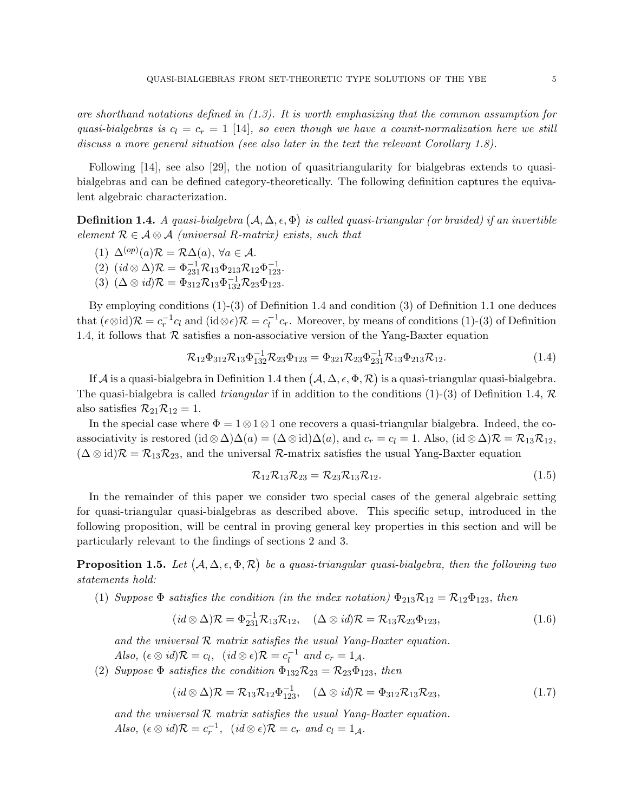are shorthand notations defined in (1.3). It is worth emphasizing that the common assumption for quasi-bialgebras is  $c_l = c_r = 1$  [14], so even though we have a counit-normalization here we still discuss a more general situation (see also later in the text the relevant Corollary 1.8).

Following [14], see also [29], the notion of quasitriangularity for bialgebras extends to quasibialgebras and can be defined category-theoretically. The following definition captures the equivalent algebraic characterization.

**Definition 1.4.** A quasi-bialgebra  $(A, \Delta, \epsilon, \Phi)$  is called quasi-triangular (or braided) if an invertible element  $\mathcal{R} \in \mathcal{A} \otimes \mathcal{A}$  (universal R-matrix) exists, such that

- (1)  $\Delta^{(op)}(a) \mathcal{R} = \mathcal{R}\Delta(a), \forall a \in \mathcal{A}.$
- (2)  $(id \otimes \Delta)\mathcal{R} = \Phi_{231}^{-1} \mathcal{R}_{13} \Phi_{213} \mathcal{R}_{12} \Phi_{123}^{-1}.$
- (3)  $(\Delta \otimes id)\mathcal{R} = \Phi_{312}\mathcal{R}_{13}\Phi_{132}^{-1}\mathcal{R}_{23}\Phi_{123}.$

By employing conditions (1)-(3) of Definition 1.4 and condition (3) of Definition 1.1 one deduces that  $(\epsilon \otimes id)\mathcal{R} = c_r^{-1}c_l$  and  $(id \otimes \epsilon)\mathcal{R} = c_l^{-1}$  $l_l^{-1}c_r$ . Moreover, by means of conditions (1)-(3) of Definition 1.4, it follows that  $R$  satisfies a non-associative version of the Yang-Baxter equation

$$
\mathcal{R}_{12}\Phi_{312}\mathcal{R}_{13}\Phi_{132}^{-1}\mathcal{R}_{23}\Phi_{123} = \Phi_{321}\mathcal{R}_{23}\Phi_{231}^{-1}\mathcal{R}_{13}\Phi_{213}\mathcal{R}_{12}.
$$
 (1.4)

If A is a quasi-bialgebra in Definition 1.4 then  $(A, \Delta, \epsilon, \Phi, \mathcal{R})$  is a quasi-triangular quasi-bialgebra. The quasi-bialgebra is called *triangular* if in addition to the conditions (1)-(3) of Definition 1.4,  $\mathcal{R}$ also satisfies  $\mathcal{R}_{21}\mathcal{R}_{12}=1$ .

In the special case where  $\Phi = 1 \otimes 1 \otimes 1$  one recovers a quasi-triangular bialgebra. Indeed, the coassociativity is restored (id  $\otimes \Delta \Delta(a) = (\Delta \otimes id)\Delta(a)$ , and  $c_r = c_l = 1$ . Also, (id  $\otimes \Delta \Delta(\mathcal{R}) = \mathcal{R}_{13} \mathcal{R}_{12}$ ,  $(\Delta \otimes id)\mathcal{R} = \mathcal{R}_{13}\mathcal{R}_{23}$ , and the universal  $\mathcal{R}$ -matrix satisfies the usual Yang-Baxter equation

$$
\mathcal{R}_{12}\mathcal{R}_{13}\mathcal{R}_{23} = \mathcal{R}_{23}\mathcal{R}_{13}\mathcal{R}_{12}.
$$
 (1.5)

In the remainder of this paper we consider two special cases of the general algebraic setting for quasi-triangular quasi-bialgebras as described above. This specific setup, introduced in the following proposition, will be central in proving general key properties in this section and will be particularly relevant to the findings of sections 2 and 3.

**Proposition 1.5.** Let  $(A, \Delta, \epsilon, \Phi, \mathcal{R})$  be a quasi-triangular quasi-bialgebra, then the following two statements hold:

(1) Suppose  $\Phi$  satisfies the condition (in the index notation)  $\Phi_{213}R_{12} = R_{12}\Phi_{123}$ , then

$$
(id \otimes \Delta)\mathcal{R} = \Phi_{231}^{-1}\mathcal{R}_{13}\mathcal{R}_{12}, \quad (\Delta \otimes id)\mathcal{R} = \mathcal{R}_{13}\mathcal{R}_{23}\Phi_{123}, \tag{1.6}
$$

and the universal  $R$  matrix satisfies the usual Yang-Baxter equation. Also,  $(\epsilon \otimes id)\mathcal{R} = c_l$ ,  $(id \otimes \epsilon)\mathcal{R} = c_l^{-1}$  $\overline{l}$ <sup>-1</sup> and  $c_r = 1_{\mathcal{A}}$ .

(2) Suppose  $\Phi$  satisfies the condition  $\Phi_{132}\mathcal{R}_{23} = \mathcal{R}_{23}\Phi_{123}$ , then

$$
(id \otimes \Delta)\mathcal{R} = \mathcal{R}_{13}\mathcal{R}_{12}\Phi_{123}^{-1}, \quad (\Delta \otimes id)\mathcal{R} = \Phi_{312}\mathcal{R}_{13}\mathcal{R}_{23}, \tag{1.7}
$$

and the universal  $R$  matrix satisfies the usual Yang-Baxter equation. Also,  $(\epsilon \otimes id)\mathcal{R} = c_r^{-1}$ ,  $(id \otimes \epsilon)\mathcal{R} = c_r$  and  $c_l = 1_{\mathcal{A}}$ .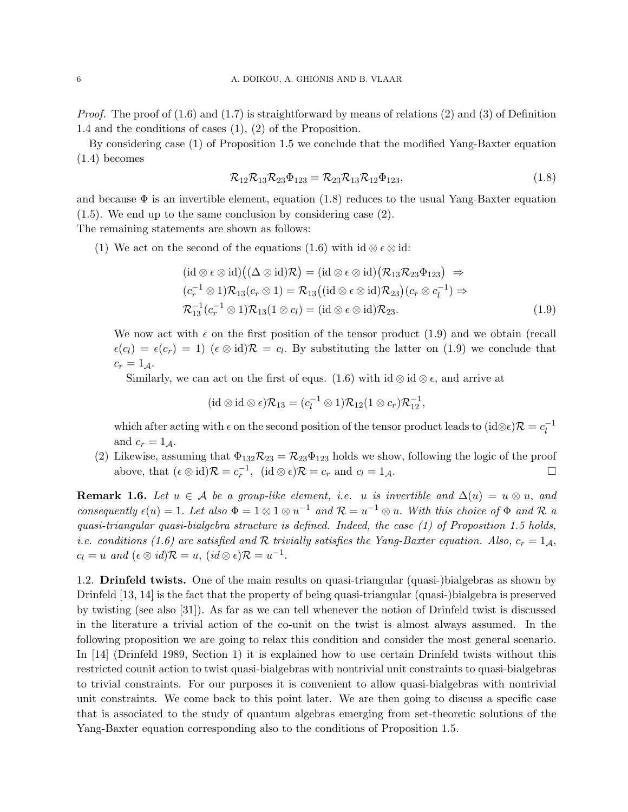*Proof.* The proof of  $(1.6)$  and  $(1.7)$  is straightforward by means of relations  $(2)$  and  $(3)$  of Definition 1.4 and the conditions of cases (1), (2) of the Proposition.

By considering case (1) of Proposition 1.5 we conclude that the modified Yang-Baxter equation (1.4) becomes

$$
\mathcal{R}_{12}\mathcal{R}_{13}\mathcal{R}_{23}\Phi_{123} = \mathcal{R}_{23}\mathcal{R}_{13}\mathcal{R}_{12}\Phi_{123},\tag{1.8}
$$

and because  $\Phi$  is an invertible element, equation (1.8) reduces to the usual Yang-Baxter equation (1.5). We end up to the same conclusion by considering case (2). The remaining statements are shown as follows:

(1) We act on the second of the equations (1.6) with id ⊗  $\epsilon \otimes id$ :

$$
(\mathrm{id}\otimes\epsilon\otimes\mathrm{id})((\Delta\otimes\mathrm{id})\mathcal{R})=(\mathrm{id}\otimes\epsilon\otimes\mathrm{id})(\mathcal{R}_{13}\mathcal{R}_{23}\Phi_{123})\Rightarrow
$$
  
\n
$$
(c_r^{-1}\otimes 1)\mathcal{R}_{13}(c_r\otimes 1)=\mathcal{R}_{13}((\mathrm{id}\otimes\epsilon\otimes\mathrm{id})\mathcal{R}_{23})(c_r\otimes c_l^{-1})\Rightarrow
$$
  
\n
$$
\mathcal{R}_{13}^{-1}(c_r^{-1}\otimes 1)\mathcal{R}_{13}(1\otimes c_l)=(\mathrm{id}\otimes\epsilon\otimes\mathrm{id})\mathcal{R}_{23}.
$$
\n(1.9)

We now act with  $\epsilon$  on the first position of the tensor product (1.9) and we obtain (recall  $\epsilon(c_l) = \epsilon(c_r) = 1$ )  $(\epsilon \otimes id)\mathcal{R} = c_l$ . By substituting the latter on (1.9) we conclude that  $c_r = 1_A$ .

Similarly, we can act on the first of equs. (1.6) with id ⊗ id ⊗  $\epsilon$ , and arrive at

$$
(\mathrm{id}\otimes \mathrm{id}\otimes \epsilon)\mathcal{R}_{13}=(c_l^{-1}\otimes 1)\mathcal{R}_{12}(1\otimes c_r)\mathcal{R}_{12}^{-1},
$$

which after acting with  $\epsilon$  on the second position of the tensor product leads to  $(id \otimes \epsilon) \mathcal{R} = c_1^{-1}$ l and  $c_r = 1_A$ .

(2) Likewise, assuming that  $\Phi_{132}R_{23} = R_{23}\Phi_{123}$  holds we show, following the logic of the proof above, that  $(\epsilon \otimes id)\mathcal{R} = c_r^{-1}$ ,  $(id \otimes \epsilon)\mathcal{R} = c_r$  and  $c_l = 1_{\mathcal{A}}$ .

**Remark 1.6.** Let  $u \in A$  be a group-like element, i.e. u is invertible and  $\Delta(u) = u \otimes u$ , and consequently  $\epsilon(u) = 1$ . Let also  $\Phi = 1 \otimes 1 \otimes u^{-1}$  and  $\mathcal{R} = u^{-1} \otimes u$ . With this choice of  $\Phi$  and  $\mathcal R$  a quasi-triangular quasi-bialgebra structure is defined. Indeed, the case  $(1)$  of Proposition 1.5 holds, *i.e.* conditions (1.6) are satisfied and R trivially satisfies the Yang-Baxter equation. Also,  $c_r = 1_A$ ,  $c_l = u$  and  $(\epsilon \otimes id)\mathcal{R} = u$ ,  $(id \otimes \epsilon)\mathcal{R} = u^{-1}$ .

1.2. Drinfeld twists. One of the main results on quasi-triangular (quasi-)bialgebras as shown by Drinfeld [13, 14] is the fact that the property of being quasi-triangular (quasi-)bialgebra is preserved by twisting (see also [31]). As far as we can tell whenever the notion of Drinfeld twist is discussed in the literature a trivial action of the co-unit on the twist is almost always assumed. In the following proposition we are going to relax this condition and consider the most general scenario. In [14] (Drinfeld 1989, Section 1) it is explained how to use certain Drinfeld twists without this restricted counit action to twist quasi-bialgebras with nontrivial unit constraints to quasi-bialgebras to trivial constraints. For our purposes it is convenient to allow quasi-bialgebras with nontrivial unit constraints. We come back to this point later. We are then going to discuss a specific case that is associated to the study of quantum algebras emerging from set-theoretic solutions of the Yang-Baxter equation corresponding also to the conditions of Proposition 1.5.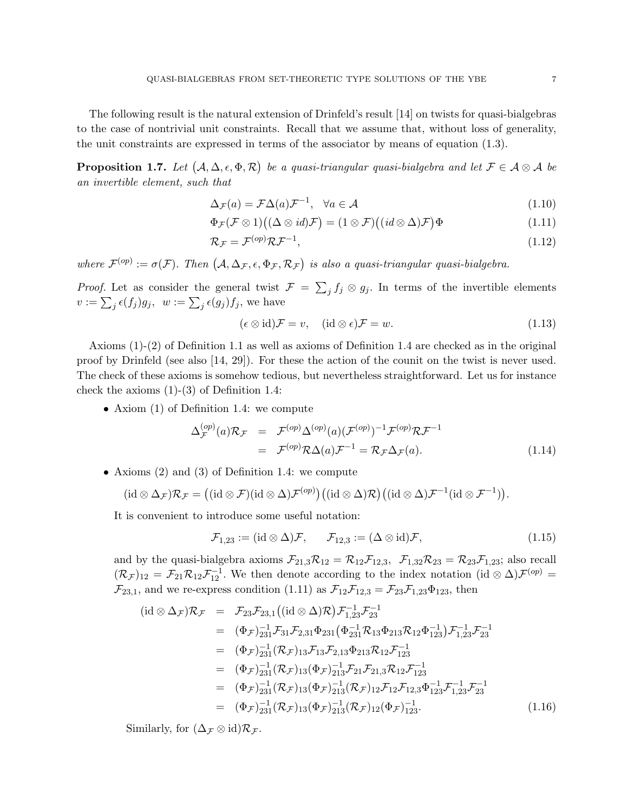The following result is the natural extension of Drinfeld's result [14] on twists for quasi-bialgebras to the case of nontrivial unit constraints. Recall that we assume that, without loss of generality, the unit constraints are expressed in terms of the associator by means of equation (1.3).

**Proposition 1.7.** Let  $(A, \Delta, \epsilon, \Phi, \mathcal{R})$  be a quasi-triangular quasi-bialgebra and let  $\mathcal{F} \in \mathcal{A} \otimes \mathcal{A}$  be an invertible element, such that

$$
\Delta_{\mathcal{F}}(a) = \mathcal{F}\Delta(a)\mathcal{F}^{-1}, \quad \forall a \in \mathcal{A}
$$
\n(1.10)

$$
\Phi_{\mathcal{F}}(\mathcal{F}\otimes 1)((\Delta\otimes id)\mathcal{F})=(1\otimes \mathcal{F})((id\otimes \Delta)\mathcal{F})\Phi
$$
\n(1.11)

$$
\mathcal{R}_{\mathcal{F}} = \mathcal{F}^{(op)} \mathcal{R} \mathcal{F}^{-1},\tag{1.12}
$$

where  $\mathcal{F}^{(op)} := \sigma(\mathcal{F})$ . Then  $(A, \Delta_{\mathcal{F}}, \epsilon, \Phi_{\mathcal{F}}, \mathcal{R}_{\mathcal{F}})$  is also a quasi-triangular quasi-bialgebra.

*Proof.* Let as consider the general twist  $\mathcal{F} = \sum_j f_j \otimes g_j$ . In terms of the invertible elements  $v := \sum_j \epsilon(f_j) g_j, \ \ w := \sum_j \epsilon(g_j) f_j,$  we have

$$
(\epsilon \otimes id)\mathcal{F} = v, \quad (\mathrm{id} \otimes \epsilon)\mathcal{F} = w. \tag{1.13}
$$

Axioms (1)-(2) of Definition 1.1 as well as axioms of Definition 1.4 are checked as in the original proof by Drinfeld (see also [14, 29]). For these the action of the counit on the twist is never used. The check of these axioms is somehow tedious, but nevertheless straightforward. Let us for instance check the axioms (1)-(3) of Definition 1.4:

• Axiom (1) of Definition 1.4: we compute

$$
\Delta_{\mathcal{F}}^{(op)}(a)\mathcal{R}_{\mathcal{F}} = \mathcal{F}^{(op)}\Delta^{(op)}(a)(\mathcal{F}^{(op)})^{-1}\mathcal{F}^{(op)}\mathcal{R}\mathcal{F}^{-1}
$$
  
=  $\mathcal{F}^{(op)}\mathcal{R}\Delta(a)\mathcal{F}^{-1} = \mathcal{R}_{\mathcal{F}}\Delta_{\mathcal{F}}(a).$  (1.14)

• Axioms (2) and (3) of Definition 1.4: we compute

$$
(\mathrm{id} \otimes \Delta_{\mathcal{F}}) \mathcal{R}_{\mathcal{F}} = ((\mathrm{id} \otimes \mathcal{F})(\mathrm{id} \otimes \Delta) \mathcal{F}^{(op)}) ((\mathrm{id} \otimes \Delta) \mathcal{R}) ((\mathrm{id} \otimes \Delta) \mathcal{F}^{-1} (\mathrm{id} \otimes \mathcal{F}^{-1})).
$$

It is convenient to introduce some useful notation:

$$
\mathcal{F}_{1,23} := (\mathrm{id} \otimes \Delta)\mathcal{F}, \qquad \mathcal{F}_{12,3} := (\Delta \otimes \mathrm{id})\mathcal{F}, \tag{1.15}
$$

and by the quasi-bialgebra axioms  $\mathcal{F}_{21,3}\mathcal{R}_{12} = \mathcal{R}_{12}\mathcal{F}_{12,3}$ ,  $\mathcal{F}_{1,32}\mathcal{R}_{23} = \mathcal{R}_{23}\mathcal{F}_{1,23}$ ; also recall  $(\mathcal{R}_{\mathcal{F}})_{12} = \mathcal{F}_{21} \mathcal{R}_{12} \mathcal{F}_{12}^{-1}$ . We then denote according to the index notation  $(id \otimes \Delta)\mathcal{F}^{(op)} =$  $\mathcal{F}_{23,1}$ , and we re-express condition (1.11) as  $\mathcal{F}_{12}\mathcal{F}_{12,3} = \mathcal{F}_{23}\mathcal{F}_{1,23}\Phi_{123}$ , then

$$
(\mathrm{id} \otimes \Delta_{\mathcal{F}}) \mathcal{R}_{\mathcal{F}} = \mathcal{F}_{23} \mathcal{F}_{23,1} ((\mathrm{id} \otimes \Delta) \mathcal{R}) \mathcal{F}_{1,23}^{-1} \mathcal{F}_{23}^{-1}
$$
  
\n
$$
= (\Phi_{\mathcal{F}})_{231}^{-1} \mathcal{F}_{31} \mathcal{F}_{2,31} \Phi_{231} (\Phi_{231}^{-1} \mathcal{R}_{13} \Phi_{213} \mathcal{R}_{12} \Phi_{123}^{-1}) \mathcal{F}_{1,23}^{-1} \mathcal{F}_{23}^{-1}
$$
  
\n
$$
= (\Phi_{\mathcal{F}})_{231}^{-1} (\mathcal{R}_{\mathcal{F}})_{13} \mathcal{F}_{13} \mathcal{F}_{2,13} \Phi_{213} \mathcal{R}_{12} \mathcal{F}_{123}^{-1}
$$
  
\n
$$
= (\Phi_{\mathcal{F}})_{231}^{-1} (\mathcal{R}_{\mathcal{F}})_{13} (\Phi_{\mathcal{F}})_{213}^{-1} \mathcal{F}_{21} \mathcal{F}_{21,3} \mathcal{R}_{12} \mathcal{F}_{123}^{-1}
$$
  
\n
$$
= (\Phi_{\mathcal{F}})_{231}^{-1} (\mathcal{R}_{\mathcal{F}})_{13} (\Phi_{\mathcal{F}})_{213}^{-1} (\mathcal{R}_{\mathcal{F}})_{12} \mathcal{F}_{12} \mathcal{F}_{12,3} \Phi_{123}^{-1} \mathcal{F}_{1,23}^{-1} \mathcal{F}_{23}^{-1}
$$
  
\n
$$
= (\Phi_{\mathcal{F}})_{231}^{-1} (\mathcal{R}_{\mathcal{F}})_{13} (\Phi_{\mathcal{F}})_{213}^{-1} (\mathcal{R}_{\mathcal{F}})_{12} (\Phi_{\mathcal{F}})_{123}^{-1}.
$$
  
\n(1.16)

Similarly, for  $(\Delta_{\mathcal{F}} \otimes id)\mathcal{R}_{\mathcal{F}}$ .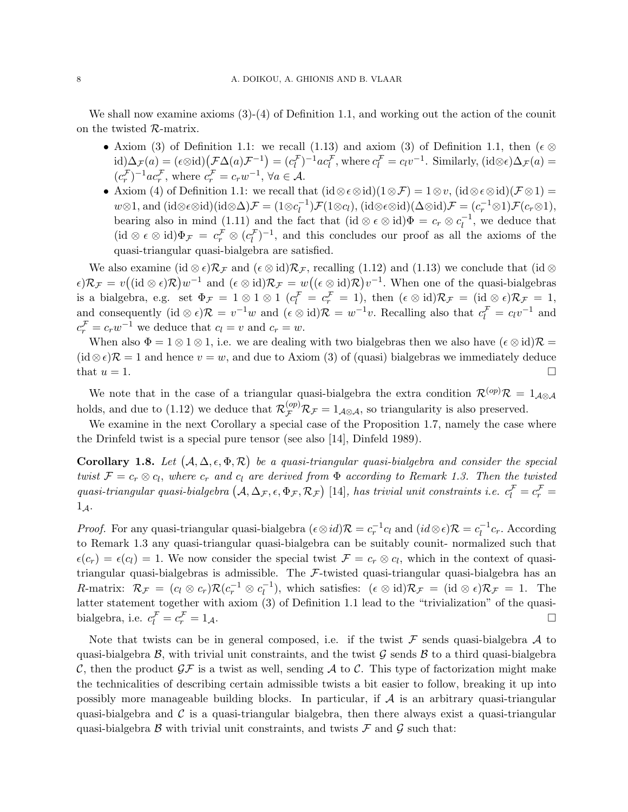We shall now examine axioms (3)-(4) of Definition 1.1, and working out the action of the counit on the twisted R-matrix.

- Axiom (3) of Definition 1.1: we recall (1.13) and axiom (3) of Definition 1.1, then ( $\epsilon \otimes$  $\text{id})\Delta_{\mathcal{F}}(a) = (\epsilon \otimes \text{id}) (\mathcal{F}\Delta(a)\mathcal{F}^{-1}) = (c_l^{\mathcal{F}})^{-1} ac_l^{\mathcal{F}}, \text{where } c_l^{\mathcal{F}} = c_l v^{-1}. \text{ Similarly, } (\text{id} \otimes \epsilon) \Delta_{\mathcal{F}}(a) =$  $(c_r^{\mathcal{F}})^{-1}ac_r^{\mathcal{F}}$ , where  $c_r^{\mathcal{F}} = c_rw^{-1}$ ,  $\forall a \in \mathcal{A}$ .
- Axiom (4) of Definition 1.1: we recall that  $(id \otimes \epsilon \otimes id)(1 \otimes \mathcal{F}) = 1 \otimes v$ ,  $(id \otimes \epsilon \otimes id)(\mathcal{F} \otimes 1) =$  $w \otimes 1$ , and (id⊗ $\epsilon \otimes$ id)(id $\otimes \Delta$ ) $\mathcal{F} = (1 \otimes c_1^{-1})$  $\mathcal{L}_l^{-1}\mathcal{F}(1\otimes c_l), (\mathrm{id}\otimes \epsilon\otimes \mathrm{id})(\Delta\otimes \mathrm{id})\mathcal{F}=(c_r^{-1}\otimes 1)\mathcal{F}(c_r\otimes 1),$ bearing also in mind (1.11) and the fact that  $(id \otimes \epsilon \otimes id)\Phi = c_r \otimes c_l^{-1}$  $\overline{l}$ <sup>-1</sup>, we deduce that  $(id \otimes \epsilon \otimes id)\Phi_{\mathcal{F}} = c_r^{\mathcal{F}} \otimes (c_l^{\mathcal{F}})^{-1}$ , and this concludes our proof as all the axioms of the quasi-triangular quasi-bialgebra are satisfied.

We also examine (id ⊗  $\epsilon$ ) $\mathcal{R}_{\mathcal{F}}$  and ( $\epsilon \otimes$  id) $\mathcal{R}_{\mathcal{F}}$ , recalling (1.12) and (1.13) we conclude that (id  $\otimes$  $\epsilon$ ) $\mathcal{R}_{\mathcal{F}} = v((\mathrm{id} \otimes \epsilon)\mathcal{R})w^{-1}$  and  $(\epsilon \otimes \mathrm{id})\mathcal{R}_{\mathcal{F}} = w((\epsilon \otimes \mathrm{id})\mathcal{R})v^{-1}$ . When one of the quasi-bialgebras is a bialgebra, e.g. set  $\Phi_{\mathcal{F}} = 1 \otimes 1 \otimes 1$   $(c_l^{\mathcal{F}} = c_r^{\mathcal{F}} = 1)$ , then  $(\epsilon \otimes id)\mathcal{R}_{\mathcal{F}} = (id \otimes \epsilon)\mathcal{R}_{\mathcal{F}} = 1$ , and consequently  $(id \otimes \epsilon)\mathcal{R} = v^{-1}w$  and  $(\epsilon \otimes id)\mathcal{R} = w^{-1}v$ . Recalling also that  $c_l^{\mathcal{F}} = c_l v^{-1}$  and  $c_r^{\mathcal{F}} = c_r w^{-1}$  we deduce that  $c_l = v$  and  $c_r = w$ .

When also  $\Phi = 1 \otimes 1 \otimes 1$ , i.e. we are dealing with two bialgebras then we also have  $({\epsilon \otimes id})\mathcal{R} =$  $(id \otimes \epsilon)\mathcal{R} = 1$  and hence  $v = w$ , and due to Axiom (3) of (quasi) bialgebras we immediately deduce that  $u = 1$ .

We note that in the case of a triangular quasi-bialgebra the extra condition  $\mathcal{R}^{(op)}\mathcal{R} = 1_{\mathcal{A}\otimes\mathcal{A}}$ holds, and due to (1.12) we deduce that  $\mathcal{R}^{(op)}_{\mathcal{F}} \mathcal{R}_{\mathcal{F}} = 1_{\mathcal{A}\otimes\mathcal{A}}$ , so triangularity is also preserved.

We examine in the next Corollary a special case of the Proposition 1.7, namely the case where the Drinfeld twist is a special pure tensor (see also [14], Dinfeld 1989).

Corollary 1.8. Let  $(A, \Delta, \epsilon, \Phi, \mathcal{R})$  be a quasi-triangular quasi-bialgebra and consider the special twist  $\mathcal{F} = c_r \otimes c_l$ , where  $c_r$  and  $c_l$  are derived from  $\Phi$  according to Remark 1.3. Then the twisted quasi-triangular quasi-bialgebra  $(A, \Delta_{\mathcal{F}}, \epsilon, \Phi_{\mathcal{F}}, \mathcal{R}_{\mathcal{F}})$  [14], has trivial unit constraints i.e.  $c_l^{\mathcal{F}} = c_r^{\mathcal{F}} =$  $1_{\mathcal{A}}$ .

*Proof.* For any quasi-triangular quasi-bialgebra  $(\epsilon \otimes id)\mathcal{R} = c_r^{-1}c_l$  and  $(id \otimes \epsilon)\mathcal{R} = c_l^{-1}$  $l_l^{-1}c_r$ . According to Remark 1.3 any quasi-triangular quasi-bialgebra can be suitably counit- normalized such that  $\epsilon(c_r) = \epsilon(c_l) = 1$ . We now consider the special twist  $\mathcal{F} = c_r \otimes c_l$ , which in the context of quasitriangular quasi-bialgebras is admissible. The  $F$ -twisted quasi-triangular quasi-bialgebra has an R-matrix:  $\mathcal{R}_{\mathcal{F}} = (c_l \otimes c_r) \mathcal{R}(c_r^{-1} \otimes c_l^{-1})$  $\ell_l^{-1}$ ), which satisfies:  $(\epsilon \otimes id)\mathcal{R}_{\mathcal{F}} = (\mathrm{id} \otimes \epsilon)\mathcal{R}_{\mathcal{F}} = 1$ . The latter statement together with axiom (3) of Definition 1.1 lead to the "trivialization" of the quasibialgebra, i.e.  $c_l^{\mathcal{F}} = c_r^{\mathcal{F}}$  $\mathcal{F}_r = 1_{\mathcal{A}}.$ 

Note that twists can be in general composed, i.e. if the twist  $\mathcal F$  sends quasi-bialgebra  $\mathcal A$  to quasi-bialgebra  $\mathcal{B}$ , with trivial unit constraints, and the twist  $\mathcal{G}$  sends  $\mathcal{B}$  to a third quasi-bialgebra C, then the product  $\mathcal{GF}$  is a twist as well, sending A to C. This type of factorization might make the technicalities of describing certain admissible twists a bit easier to follow, breaking it up into possibly more manageable building blocks. In particular, if  $A$  is an arbitrary quasi-triangular quasi-bialgebra and  $\mathcal C$  is a quasi-triangular bialgebra, then there always exist a quasi-triangular quasi-bialgebra  $\beta$  with trivial unit constraints, and twists  $\mathcal F$  and  $\mathcal G$  such that: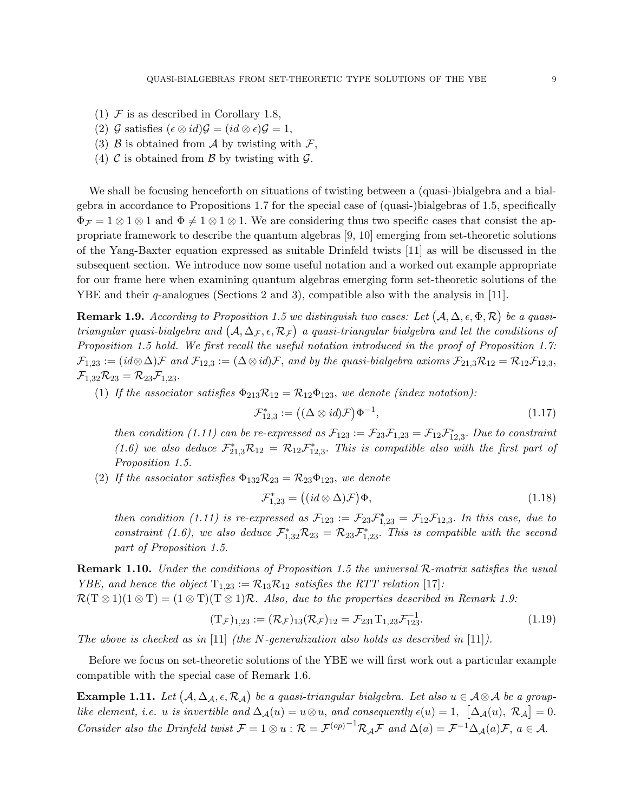- (1)  $\mathcal F$  is as described in Corollary 1.8,
- (2) G satisfies  $(\epsilon \otimes id)\mathcal{G} = (id \otimes \epsilon)\mathcal{G} = 1$ ,
- (3)  $\beta$  is obtained from  $\mathcal A$  by twisting with  $\mathcal F$ ,
- (4)  $\mathcal C$  is obtained from  $\mathcal B$  by twisting with  $\mathcal G$ .

We shall be focusing henceforth on situations of twisting between a (quasi-)bialgebra and a bialgebra in accordance to Propositions 1.7 for the special case of (quasi-)bialgebras of 1.5, specifically  $\Phi_{\mathcal{F}} = 1 \otimes 1 \otimes 1$  and  $\Phi \neq 1 \otimes 1 \otimes 1$ . We are considering thus two specific cases that consist the appropriate framework to describe the quantum algebras [9, 10] emerging from set-theoretic solutions of the Yang-Baxter equation expressed as suitable Drinfeld twists [11] as will be discussed in the subsequent section. We introduce now some useful notation and a worked out example appropriate for our frame here when examining quantum algebras emerging form set-theoretic solutions of the YBE and their q-analogues (Sections 2 and 3), compatible also with the analysis in [11].

**Remark 1.9.** According to Proposition 1.5 we distinguish two cases: Let  $(A, \Delta, \epsilon, \Phi, \mathcal{R})$  be a quasitriangular quasi-bialgebra and  $(A, \Delta_{\mathcal{F}}, \epsilon, \mathcal{R}_{\mathcal{F}})$  a quasi-triangular bialgebra and let the conditions of Proposition 1.5 hold. We first recall the useful notation introduced in the proof of Proposition 1.7:  $\mathcal{F}_{1,23} := (id \otimes \Delta)\mathcal{F}$  and  $\mathcal{F}_{12,3} := (\Delta \otimes id)\mathcal{F}$ , and by the quasi-bialgebra axioms  $\mathcal{F}_{21,3}\mathcal{R}_{12} = \mathcal{R}_{12}\mathcal{F}_{12,3}$ ,  $\mathcal{F}_{1,32}\mathcal{R}_{23} = \mathcal{R}_{23}\mathcal{F}_{1,23}.$ 

(1) If the associator satisfies  $\Phi_{213}R_{12} = R_{12}\Phi_{123}$ , we denote (index notation):

$$
\mathcal{F}_{12,3}^* := ((\Delta \otimes id)\mathcal{F})\Phi^{-1},\tag{1.17}
$$

then condition (1.11) can be re-expressed as  $\mathcal{F}_{123} := \mathcal{F}_{23}\mathcal{F}_{1,23} = \mathcal{F}_{12}\mathcal{F}_{12,3}^*$ . Due to constraint (1.6) we also deduce  $\mathcal{F}_{21,3}^* \mathcal{R}_{12} = \mathcal{R}_{12} \mathcal{F}_{12,3}^*$ . This is compatible also with the first part of Proposition 1.5.

(2) If the associator satisfies  $\Phi_{132}R_{23} = R_{23}\Phi_{123}$ , we denote

$$
\mathcal{F}_{1,23}^* = ((id \otimes \Delta)\mathcal{F})\Phi,\tag{1.18}
$$

then condition (1.11) is re-expressed as  $\mathcal{F}_{123} := \mathcal{F}_{23}\mathcal{F}_{1,23}^* = \mathcal{F}_{12}\mathcal{F}_{12,3}$ . In this case, due to constraint (1.6), we also deduce  $\mathcal{F}_{1,32}^*\mathcal{R}_{23} = \mathcal{R}_{23}\mathcal{F}_{1,23}^*$ . This is compatible with the second part of Proposition 1.5.

Remark 1.10. Under the conditions of Proposition 1.5 the universal R-matrix satisfies the usual *YBE*, and hence the object  $T_{1,23} := \mathcal{R}_{13} \mathcal{R}_{12}$  satisfies the RTT relation [17]:

 $\mathcal{R}(T \otimes 1)(1 \otimes T) = (1 \otimes T)(T \otimes 1)\mathcal{R}$ . Also, due to the properties described in Remark 1.9:

$$
(T_{\mathcal{F}})_{1,23} := (\mathcal{R}_{\mathcal{F}})_{13} (\mathcal{R}_{\mathcal{F}})_{12} = \mathcal{F}_{231} T_{1,23} \mathcal{F}_{123}^{-1}.
$$
 (1.19)

The above is checked as in [11] (the N-generalization also holds as described in [11]).

Before we focus on set-theoretic solutions of the YBE we will first work out a particular example compatible with the special case of Remark 1.6.

**Example 1.11.** Let  $(A, \Delta_{\mathcal{A}}, \epsilon, \mathcal{R}_{\mathcal{A}})$  be a quasi-triangular bialgebra. Let also  $u \in \mathcal{A} \otimes \mathcal{A}$  be a grouplike element, i.e. u is invertible and  $\Delta_{\mathcal{A}}(u) = u \otimes u$ , and consequently  $\epsilon(u) = 1, \ [\Delta_{\mathcal{A}}(u), \ \mathcal{R}_{\mathcal{A}}] = 0$ . Consider also the Drinfeld twist  $\mathcal{F} = 1 \otimes u : \mathcal{R} = \mathcal{F}^{(op)}{}^{-1} \mathcal{R}_\mathcal{A} \mathcal{F}$  and  $\Delta(a) = \mathcal{F}^{-1} \Delta_{\mathcal{A}}(a) \mathcal{F}, a \in \mathcal{A}$ .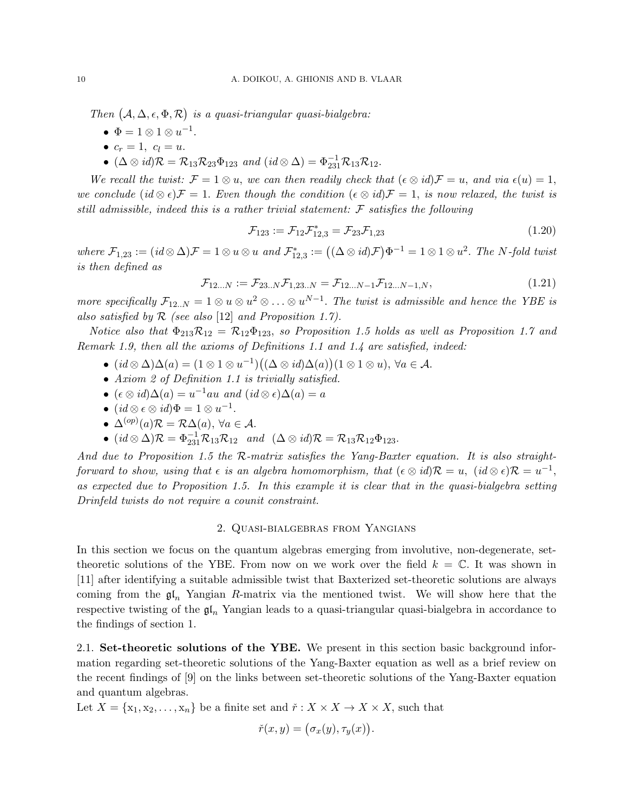Then  $(A, \Delta, \epsilon, \Phi, \mathcal{R})$  is a quasi-triangular quasi-bialgebra:

- $\Phi = 1 \otimes 1 \otimes u^{-1}.$
- $c_r = 1, c_l = u$ .
- $(\Delta \otimes id)\mathcal{R} = \mathcal{R}_{13}\mathcal{R}_{23}\Phi_{123}$  and  $(id \otimes \Delta) = \Phi_{231}^{-1}\mathcal{R}_{13}\mathcal{R}_{12}.$

We recall the twist:  $\mathcal{F} = 1 \otimes u$ , we can then readily check that  $(\epsilon \otimes id)\mathcal{F} = u$ , and via  $\epsilon(u) = 1$ , we conclude  $(id \otimes \epsilon)F = 1$ . Even though the condition  $(\epsilon \otimes id)\mathcal{F} = 1$ , is now relaxed, the twist is still admissible, indeed this is a rather trivial statement:  $\mathcal F$  satisfies the following

$$
\mathcal{F}_{123} := \mathcal{F}_{12}\mathcal{F}_{12,3}^* = \mathcal{F}_{23}\mathcal{F}_{1,23} \tag{1.20}
$$

where  $\mathcal{F}_{1,23} := (id \otimes \Delta)\mathcal{F} = 1 \otimes u \otimes u$  and  $\mathcal{F}_{12,3}^* := ((\Delta \otimes id)\mathcal{F})\Phi^{-1} = 1 \otimes 1 \otimes u^2$ . The N-fold twist is then defined as

$$
\mathcal{F}_{12...N} := \mathcal{F}_{23..N} \mathcal{F}_{1,23..N} = \mathcal{F}_{12...N-1} \mathcal{F}_{12...N-1,N},
$$
\n(1.21)

more specifically  $\mathcal{F}_{12..N} = 1 \otimes u \otimes u^2 \otimes \ldots \otimes u^{N-1}$ . The twist is admissible and hence the YBE is also satisfied by  $R$  (see also [12] and Proposition 1.7).

Notice also that  $\Phi_{213}R_{12} = R_{12}\Phi_{123}$ , so Proposition 1.5 holds as well as Proposition 1.7 and Remark 1.9, then all the axioms of Definitions 1.1 and 1.4 are satisfied, indeed:

- $(id \otimes \Delta)\Delta(a) = (1 \otimes 1 \otimes u^{-1})((\Delta \otimes id)\Delta(a))(1 \otimes 1 \otimes u), \forall a \in \mathcal{A}.$
- Axiom 2 of Definition 1.1 is trivially satisfied.
- $(\epsilon \otimes id)\Delta(a) = u^{-1}au$  and  $(id \otimes \epsilon)\Delta(a) = a$
- $(id \otimes \epsilon \otimes id)\Phi = 1 \otimes u^{-1}.$
- $\Delta^{(op)}(a) \mathcal{R} = \mathcal{R} \Delta(a), \ \forall a \in \mathcal{A}.$
- $(id \otimes \Delta)\mathcal{R} = \Phi_{231}^{-1}\mathcal{R}_{13}\mathcal{R}_{12}$  and  $(\Delta \otimes id)\mathcal{R} = \mathcal{R}_{13}\mathcal{R}_{12}\Phi_{123}$ .

And due to Proposition 1.5 the  $R$ -matrix satisfies the Yang-Baxter equation. It is also straightforward to show, using that  $\epsilon$  is an algebra homomorphism, that  $(\epsilon \otimes id)\mathcal{R} = u$ ,  $(id \otimes \epsilon)\mathcal{R} = u^{-1}$ , as expected due to Proposition 1.5. In this example it is clear that in the quasi-bialgebra setting Drinfeld twists do not require a counit constraint.

#### 2. Quasi-bialgebras from Yangians

In this section we focus on the quantum algebras emerging from involutive, non-degenerate, settheoretic solutions of the YBE. From now on we work over the field  $k = \mathbb{C}$ . It was shown in [11] after identifying a suitable admissible twist that Baxterized set-theoretic solutions are always coming from the  $\mathfrak{gl}_n$  Yangian R-matrix via the mentioned twist. We will show here that the respective twisting of the  $\mathfrak{gl}_n$  Yangian leads to a quasi-triangular quasi-bialgebra in accordance to the findings of section 1.

2.1. Set-theoretic solutions of the YBE. We present in this section basic background information regarding set-theoretic solutions of the Yang-Baxter equation as well as a brief review on the recent findings of [9] on the links between set-theoretic solutions of the Yang-Baxter equation and quantum algebras.

Let  $X = \{x_1, x_2, \ldots, x_n\}$  be a finite set and  $\check{r}: X \times X \to X \times X$ , such that

$$
\check{r}(x,y) = (\sigma_x(y), \tau_y(x)).
$$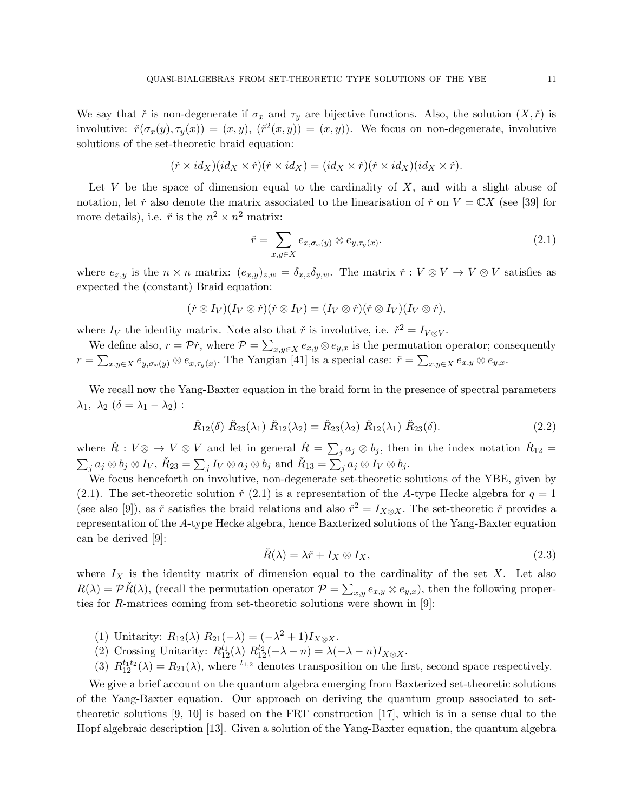We say that  $\check{r}$  is non-degenerate if  $\sigma_x$  and  $\tau_y$  are bijective functions. Also, the solution  $(X, \check{r})$  is involutive:  $\check{r}(\sigma_x(y), \tau_y(x)) = (x, y), (\check{r}^2(x, y)) = (x, y)$ . We focus on non-degenerate, involutive solutions of the set-theoretic braid equation:

$$
(\check{r} \times id_X)(id_X \times \check{r})(\check{r} \times id_X) = (id_X \times \check{r})(\check{r} \times id_X)(id_X \times \check{r}).
$$

Let V be the space of dimension equal to the cardinality of  $X$ , and with a slight abuse of notation, let  $\check{r}$  also denote the matrix associated to the linearisation of  $\check{r}$  on  $V = \mathbb{C}X$  (see [39] for more details), i.e.  $\check{r}$  is the  $n^2 \times n^2$  matrix:

$$
\check{r} = \sum_{x,y \in X} e_{x,\sigma_x(y)} \otimes e_{y,\tau_y(x)}.
$$
\n(2.1)

where  $e_{x,y}$  is the  $n \times n$  matrix:  $(e_{x,y})_{z,w} = \delta_{x,z} \delta_{y,w}$ . The matrix  $\check{r} : V \otimes V \to V \otimes V$  satisfies as expected the (constant) Braid equation:

$$
(\check{r}\otimes I_V)(I_V\otimes \check{r})(\check{r}\otimes I_V)=(I_V\otimes \check{r})(\check{r}\otimes I_V)(I_V\otimes \check{r}),
$$

where  $I_V$  the identity matrix. Note also that  $\check{r}$  is involutive, i.e.  $\check{r}^2 = I_{V \otimes V}$ .

We define also,  $r = \mathcal{P}\check{r}$ , where  $\mathcal{P} = \sum_{x,y \in X} e_{x,y} \otimes e_{y,x}$  is the permutation operator; consequently  $r = \sum_{x,y \in X} e_{y,\sigma_x(y)} \otimes e_{x,\tau_y(x)}$ . The Yangian [41] is a special case:  $\check{r} = \sum_{x,y \in X} e_{x,y} \otimes e_{y,x}$ .

We recall now the Yang-Baxter equation in the braid form in the presence of spectral parameters  $\lambda_1, \lambda_2 \ (\delta = \lambda_1 - \lambda_2)$ :

$$
\check{R}_{12}(\delta) \; \check{R}_{23}(\lambda_1) \; \check{R}_{12}(\lambda_2) = \check{R}_{23}(\lambda_2) \; \check{R}_{12}(\lambda_1) \; \check{R}_{23}(\delta). \tag{2.2}
$$

where  $\check{R}: V \otimes \to V \otimes V$  and let in general  $\check{R} = \sum_j a_j \otimes b_j$ , then in the index notation  $\check{R}_{12} =$  $\sum_j a_j \otimes b_j \otimes I_V, \, \check{R}_{23} = \sum_j I_V \otimes a_j \otimes b_j \, \, \text{and} \, \, \check{R}_{13} = \sum_j a_j \otimes I_V \otimes b_j.$ 

We focus henceforth on involutive, non-degenerate set-theoretic solutions of the YBE, given by (2.1). The set-theoretic solution  $\check{r}$  (2.1) is a representation of the A-type Hecke algebra for  $q=1$ (see also [9]), as  $\check{r}$  satisfies the braid relations and also  $\check{r}^2 = I_{X \otimes X}$ . The set-theoretic  $\check{r}$  provides a representation of the A-type Hecke algebra, hence Baxterized solutions of the Yang-Baxter equation can be derived [9]:

$$
\check{R}(\lambda) = \lambda \check{r} + I_X \otimes I_X,\tag{2.3}
$$

where  $I_X$  is the identity matrix of dimension equal to the cardinality of the set X. Let also  $R(\lambda) = \mathcal{P} \check{R}(\lambda)$ , (recall the permutation operator  $\mathcal{P} = \sum_{x,y} e_{x,y} \otimes e_{y,x}$ ), then the following properties for R-matrices coming from set-theoretic solutions were shown in [9]:

- (1) Unitarity:  $R_{12}(\lambda) R_{21}(-\lambda) = (-\lambda^2 + 1)I_{X\otimes X}$ .
- (2) Crossing Unitarity:  $R_{12}^{t_1}(\lambda) R_{12}^{t_2}(-\lambda n) = \lambda(-\lambda n)I_{X \otimes X}$ .
- (3)  $R_{12}^{t_1t_2}(\lambda) = R_{21}(\lambda)$ , where <sup>t<sub>1,2</sub></sup> denotes transposition on the first, second space respectively.

We give a brief account on the quantum algebra emerging from Baxterized set-theoretic solutions of the Yang-Baxter equation. Our approach on deriving the quantum group associated to settheoretic solutions [9, 10] is based on the FRT construction [17], which is in a sense dual to the Hopf algebraic description [13]. Given a solution of the Yang-Baxter equation, the quantum algebra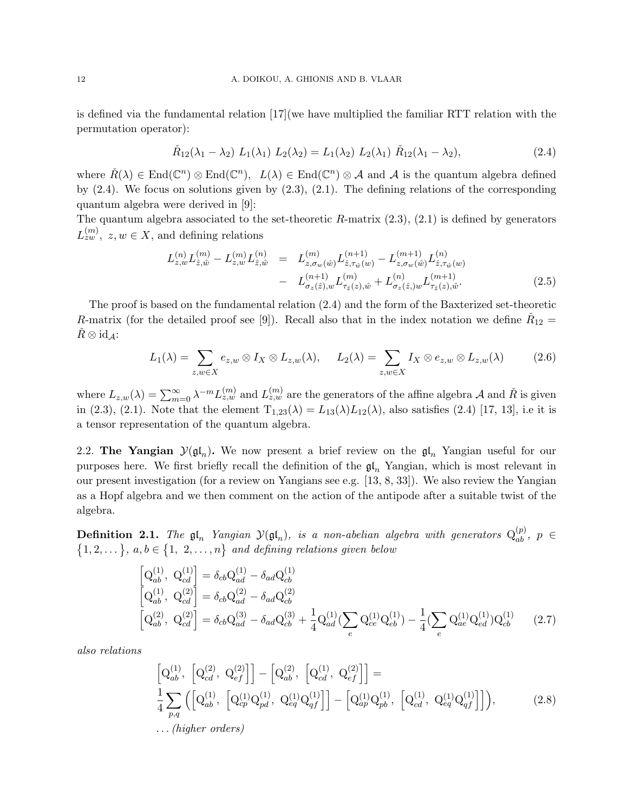is defined via the fundamental relation [17](we have multiplied the familiar RTT relation with the permutation operator):

$$
\check{R}_{12}(\lambda_1 - \lambda_2) L_1(\lambda_1) L_2(\lambda_2) = L_1(\lambda_2) L_2(\lambda_1) \check{R}_{12}(\lambda_1 - \lambda_2), \tag{2.4}
$$

where  $\check{R}(\lambda) \in \text{End}(\mathbb{C}^n) \otimes \text{End}(\mathbb{C}^n)$ ,  $L(\lambda) \in \text{End}(\mathbb{C}^n) \otimes \mathcal{A}$  and  $\mathcal{A}$  is the quantum algebra defined by (2.4). We focus on solutions given by (2.3), (2.1). The defining relations of the corresponding quantum algebra were derived in [9]:

The quantum algebra associated to the set-theoretic  $R$ -matrix  $(2.3)$ ,  $(2.1)$  is defined by generators  $L_{zw}^{(m)}$ ,  $z, w \in X$ , and defining relations

$$
L_{z,w}^{(n)} L_{\hat{z},\hat{w}}^{(m)} - L_{z,w}^{(m)} L_{\hat{z},\hat{w}}^{(n)} = L_{z,\sigma_w(\hat{w})}^{(m)} L_{\hat{z},\tau_{\hat{w}}(w)}^{(n+1)} - L_{z,\sigma_w(\hat{w})}^{(m+1)} L_{\hat{z},\tau_{\hat{w}}(w)}^{(n)}
$$

$$
- L_{\sigma_z(\hat{z}),w}^{(n+1)} L_{\tau_{\hat{z}}(z),\hat{w}}^{(m)} + L_{\sigma_z(\hat{z}),w}^{(n)} L_{\tau_{\hat{z}}(z),\hat{w}}^{(m+1)}.
$$
(2.5)

The proof is based on the fundamental relation (2.4) and the form of the Baxterized set-theoretic R-matrix (for the detailed proof see [9]). Recall also that in the index notation we define  $\check{R}_{12} =$  $R \otimes id_A$ :

$$
L_1(\lambda) = \sum_{z,w \in X} e_{z,w} \otimes I_X \otimes L_{z,w}(\lambda), \qquad L_2(\lambda) = \sum_{z,w \in X} I_X \otimes e_{z,w} \otimes L_{z,w}(\lambda) \tag{2.6}
$$

where  $L_{z,w}(\lambda) = \sum_{m=0}^{\infty} \lambda^{-m} L_{z,w}^{(m)}$  and  $L_{z,w}^{(m)}$  are the generators of the affine algebra A and  $\tilde{R}$  is given in (2.3), (2.1). Note that the element  $T_{1,23}(\lambda) = L_{13}(\lambda)L_{12}(\lambda)$ , also satisfies (2.4) [17, 13], i.e it is a tensor representation of the quantum algebra.

2.2. The Yangian  $\mathcal{Y}(\mathfrak{gl}_n)$ . We now present a brief review on the  $\mathfrak{gl}_n$  Yangian useful for our purposes here. We first briefly recall the definition of the  $\mathfrak{gl}_n$  Yangian, which is most relevant in our present investigation (for a review on Yangians see e.g. [13, 8, 33]). We also review the Yangian as a Hopf algebra and we then comment on the action of the antipode after a suitable twist of the algebra.

**Definition 2.1.** The  $\mathfrak{gl}_n$  Yangian  $\mathcal{Y}(\mathfrak{gl}_n)$ , is a non-abelian algebra with generators  $Q_{ab}^{(p)}$ ,  $p \in$  $\{1, 2, \dots\}, a, b \in \{1, 2, \dots, n\}$  and defining relations given below

$$
\begin{bmatrix}\n\mathbf{Q}_{ab}^{(1)}, \ \mathbf{Q}_{cd}^{(1)}\n\end{bmatrix} = \delta_{cb}\mathbf{Q}_{ad}^{(1)} - \delta_{ad}\mathbf{Q}_{cb}^{(1)} \n\begin{bmatrix}\n\mathbf{Q}_{ab}^{(1)}, \ \mathbf{Q}_{cd}^{(2)}\n\end{bmatrix} = \delta_{cb}\mathbf{Q}_{ad}^{(2)} - \delta_{ad}\mathbf{Q}_{cb}^{(2)} \n\begin{bmatrix}\n\mathbf{Q}_{ab}^{(1)}, \ \mathbf{Q}_{cd}^{(2)}\n\end{bmatrix} = \delta_{cb}\mathbf{Q}_{ad}^{(3)} - \delta_{ad}\mathbf{Q}_{cb}^{(3)} + \frac{1}{4}\mathbf{Q}_{ad}^{(1)}(\sum_{e} \mathbf{Q}_{ce}^{(1)}\mathbf{Q}_{eb}^{(1)}) - \frac{1}{4}(\sum_{e} \mathbf{Q}_{ae}^{(1)}\mathbf{Q}_{ed}^{(1)})\mathbf{Q}_{cb}^{(1)}\n\end{bmatrix} (2.7)
$$

also relations

$$
\begin{bmatrix}\nQ_{ab}^{(1)}, \begin{bmatrix}\nQ_{cd}^{(2)}, Q_{ef}^{(2)}\n\end{bmatrix}\n\end{bmatrix} - \begin{bmatrix}\nQ_{ab}^{(2)}, \begin{bmatrix}\nQ_{cd}^{(1)}, Q_{ef}^{(2)}\n\end{bmatrix}\n\end{bmatrix} =\n\frac{1}{4} \sum_{p,q} \left( \begin{bmatrix}\nQ_{ab}^{(1)}, \begin{bmatrix}\nQ_{cp}^{(1)}Q_{pd}^{(1)}, Q_{eq}^{(1)}Q_{qf}^{(1)}\n\end{bmatrix}\n\end{bmatrix} - \begin{bmatrix}\nQ_{ap}^{(1)}Q_{pb}^{(1)}, \begin{bmatrix}\nQ_{cd}^{(1)}, Q_{eq}^{(1)}Q_{qf}^{(1)}\n\end{bmatrix}\n\end{bmatrix},\n\dots (higher orders)
$$
\n(2.8)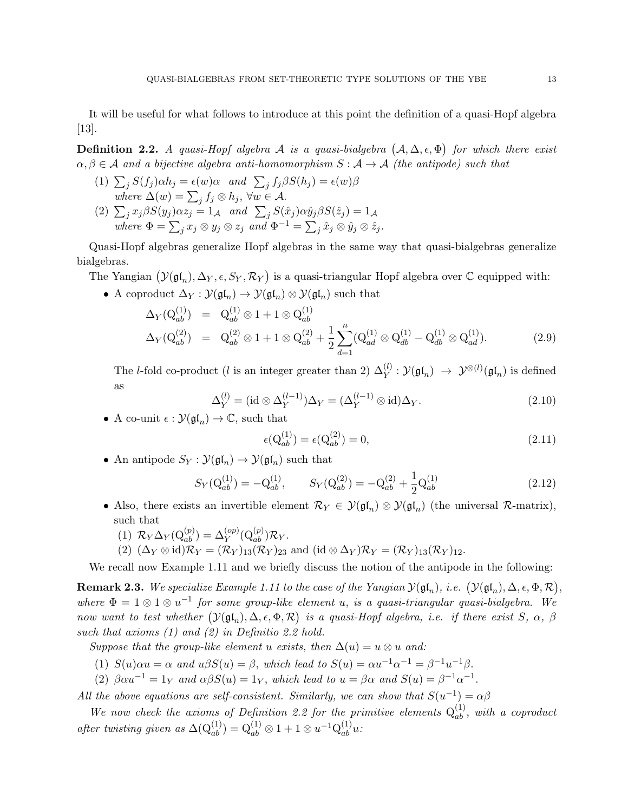It will be useful for what follows to introduce at this point the definition of a quasi-Hopf algebra [13].

**Definition 2.2.** A quasi-Hopf algebra A is a quasi-bialgebra  $(A, \Delta, \epsilon, \Phi)$  for which there exist  $\alpha, \beta \in \mathcal{A}$  and a bijective algebra anti-homomorphism  $S : \mathcal{A} \to \mathcal{A}$  (the antipode) such that

(1)  $\sum_j S(f_j) \alpha h_j = \epsilon(w) \alpha$  and  $\sum_j f_j \beta S(h_j) = \epsilon(w) \beta$ where  $\Delta(w) = \sum_j f_j \otimes h_j$ ,  $\forall w \in \mathcal{A}$ . (2)  $\sum_j x_j \beta S(y_j) \alpha z_j = 1_{\mathcal{A}}$  and  $\sum_j S(\hat{x}_j) \alpha \hat{y}_j \beta S(\hat{z}_j) = 1_{\mathcal{A}}$ where  $\Phi = \sum_j x_j \otimes y_j \otimes z_j$  and  $\Phi^{-1} = \sum_j \hat{x}_j \otimes \hat{y}_j \otimes \hat{z}_j$ .

Quasi-Hopf algebras generalize Hopf algebras in the same way that quasi-bialgebras generalize bialgebras.

The Yangian  $(\mathcal{Y}(\mathfrak{gl}_n), \Delta_Y, \epsilon, S_Y, \mathcal{R}_Y)$  is a quasi-triangular Hopf algebra over  $\mathbb C$  equipped with:

• A coproduct  $\Delta_Y : \mathcal{Y}(\mathfrak{gl}_n) \to \mathcal{Y}(\mathfrak{gl}_n) \otimes \mathcal{Y}(\mathfrak{gl}_n)$  such that

$$
\Delta_Y(Q_{ab}^{(1)}) = Q_{ab}^{(1)} \otimes 1 + 1 \otimes Q_{ab}^{(1)}
$$
\n
$$
\Delta_Y(Q_{ab}^{(2)}) = Q_{ab}^{(2)} \otimes 1 + 1 \otimes Q_{ab}^{(2)} + \frac{1}{2} \sum_{d=1}^n (Q_{ad}^{(1)} \otimes Q_{db}^{(1)} - Q_{db}^{(1)} \otimes Q_{ad}^{(1)}).
$$
\n(2.9)

The *l*-fold co-product (*l* is an integer greater than 2)  $\Delta_Y^{(l)} : \mathcal{Y}(\mathfrak{gl}_n) \to \mathcal{Y}^{\otimes (l)}(\mathfrak{gl}_n)$  is defined as

$$
\Delta_Y^{(l)} = (\mathrm{id} \otimes \Delta_Y^{(l-1)}) \Delta_Y = (\Delta_Y^{(l-1)} \otimes \mathrm{id}) \Delta_Y. \tag{2.10}
$$

• A co-unit  $\epsilon : \mathcal{Y}(\mathfrak{gl}_n) \to \mathbb{C}$ , such that

$$
\epsilon(Q_{ab}^{(1)}) = \epsilon(Q_{ab}^{(2)}) = 0,\t\t(2.11)
$$

• An antipode  $S_Y : \mathcal{Y}(\mathfrak{gl}_n) \to \mathcal{Y}(\mathfrak{gl}_n)$  such that

$$
S_Y(\mathbf{Q}_{ab}^{(1)}) = -\mathbf{Q}_{ab}^{(1)}, \qquad S_Y(\mathbf{Q}_{ab}^{(2)}) = -\mathbf{Q}_{ab}^{(2)} + \frac{1}{2}\mathbf{Q}_{ab}^{(1)} \tag{2.12}
$$

• Also, there exists an invertible element  $\mathcal{R}_Y \in \mathcal{Y}(\mathfrak{gl}_n) \otimes \mathcal{Y}(\mathfrak{gl}_n)$  (the universal  $\mathcal{R}$ -matrix), such that

$$
(1) \ \mathcal{R}_Y \Delta_Y(\mathcal{Q}_{ab}^{(p)}) = \Delta_Y^{(op)}(\mathcal{Q}_{ab}^{(p)}) \mathcal{R}_Y.
$$

(2)  $(\Delta_Y \otimes id)\mathcal{R}_Y = (\mathcal{R}_Y)_{13}(\mathcal{R}_Y)_{23}$  and  $(id \otimes \Delta_Y)\mathcal{R}_Y = (\mathcal{R}_Y)_{13}(\mathcal{R}_Y)_{12}$ .

We recall now Example 1.11 and we briefly discuss the notion of the antipode in the following:

**Remark 2.3.** We specialize Example 1.11 to the case of the Yangian  $\mathcal{Y}(\mathfrak{gl}_n)$ , i.e.  $(\mathcal{Y}(\mathfrak{gl}_n), \Delta, \epsilon, \Phi, \mathcal{R})$ , where  $\Phi = 1 \otimes 1 \otimes u^{-1}$  for some group-like element u, is a quasi-triangular quasi-bialgebra. We now want to test whether  $(\mathcal{Y}(\mathfrak{gl}_n), \Delta, \epsilon, \Phi, \mathcal{R})$  is a quasi-Hopf algebra, i.e. if there exist S,  $\alpha$ ,  $\beta$ such that axioms (1) and (2) in Definitio 2.2 hold.

Suppose that the group-like element u exists, then  $\Delta(u) = u \otimes u$  and:

- (1)  $S(u)\alpha u = \alpha$  and  $u\beta S(u) = \beta$ , which lead to  $S(u) = \alpha u^{-1} \alpha^{-1} = \beta^{-1} u^{-1} \beta$ .
- (2)  $\beta \alpha u^{-1} = 1_Y$  and  $\alpha \beta S(u) = 1_Y$ , which lead to  $u = \beta \alpha$  and  $S(u) = \beta^{-1} \alpha^{-1}$ .

All the above equations are self-consistent. Similarly, we can show that  $S(u^{-1}) = \alpha \beta$ 

We now check the axioms of Definition 2.2 for the primitive elements  $Q_{ab}^{(1)}$ , with a coproduct after twisting given as  $\Delta(\mathbf{Q}_{ab}^{(1)}) = \mathbf{Q}_{ab}^{(1)} \otimes 1 + 1 \otimes u^{-1} \mathbf{Q}_{ab}^{(1)} u$ .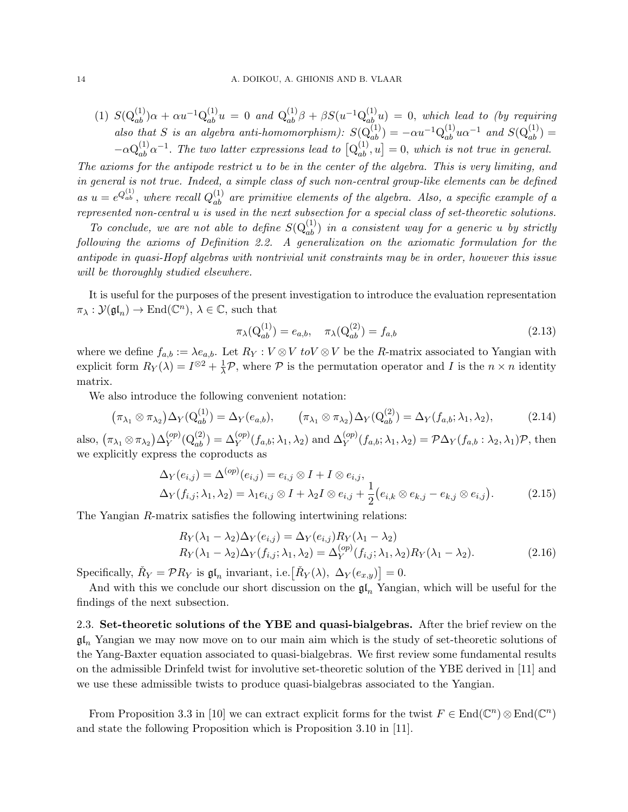(1) 
$$
S(Q_{ab}^{(1)})\alpha + \alpha u^{-1}Q_{ab}^{(1)}u = 0
$$
 and  $Q_{ab}^{(1)}\beta + \beta S(u^{-1}Q_{ab}^{(1)}u) = 0$ , which lead to (by requiring also that S is an algebra anti-homomorphism):  $S(Q_{ab}^{(1)}) = -\alpha u^{-1}Q_{ab}^{(1)}u\alpha^{-1}$  and  $S(Q_{ab}^{(1)}) = -\alpha Q_{ab}^{(1)}\alpha^{-1}$ . The two latter expressions lead to  $[Q_{ab}^{(1)}, u] = 0$ , which is not true in general.

The axioms for the antipode restrict u to be in the center of the algebra. This is very limiting, and in general is not true. Indeed, a simple class of such non-central group-like elements can be defined as  $u = e^{Q_{ab}^{(1)}}$ , where recall  $Q_{ab}^{(1)}$  are primitive elements of the algebra. Also, a specific example of a represented non-central u is used in the next subsection for a special class of set-theoretic solutions.

To conclude, we are not able to define  $S(Q_{ab}^{(1)})$  in a consistent way for a generic u by strictly following the axioms of Definition 2.2. A generalization on the axiomatic formulation for the antipode in quasi-Hopf algebras with nontrivial unit constraints may be in order, however this issue will be thoroughly studied elsewhere.

It is useful for the purposes of the present investigation to introduce the evaluation representation  $\pi_{\lambda}: \mathcal{Y}(\mathfrak{gl}_n) \to \text{End}(\mathbb{C}^n)$ ,  $\lambda \in \mathbb{C}$ , such that

$$
\pi_{\lambda}(\mathbf{Q}_{ab}^{(1)}) = e_{a,b}, \quad \pi_{\lambda}(\mathbf{Q}_{ab}^{(2)}) = f_{a,b} \tag{2.13}
$$

where we define  $f_{a,b} := \lambda e_{a,b}$ . Let  $R_Y : V \otimes V$  to  $V \otimes V$  be the R-matrix associated to Yangian with explicit form  $R_Y(\lambda) = I^{\otimes 2} + \frac{1}{\lambda} \mathcal{P}$ , where  $\mathcal P$  is the permutation operator and I is the  $n \times n$  identity matrix.

We also introduce the following convenient notation:

$$
(\pi_{\lambda_1} \otimes \pi_{\lambda_2})\Delta_Y(\mathbf{Q}_{ab}^{(1)}) = \Delta_Y(e_{a,b}), \qquad (\pi_{\lambda_1} \otimes \pi_{\lambda_2})\Delta_Y(\mathbf{Q}_{ab}^{(2)}) = \Delta_Y(f_{a,b}; \lambda_1, \lambda_2), \tag{2.14}
$$

also,  $(\pi_{\lambda_1} \otimes \pi_{\lambda_2})\Delta^{(op)}_Y$  $\mathcal{L}_Y^{(op)}(Q_{ab}^{(2)}) = \Delta_Y^{(op)}(f_{a,b}; \lambda_1, \lambda_2)$  and  $\Delta_Y^{(op)}(f_{a,b}; \lambda_1, \lambda_2) = \mathcal{P}\Delta_Y(f_{a,b} : \lambda_2, \lambda_1)\mathcal{P}$ , then we explicitly express the coproducts as

$$
\Delta_Y(e_{i,j}) = \Delta^{(op)}(e_{i,j}) = e_{i,j} \otimes I + I \otimes e_{i,j},
$$
  
\n
$$
\Delta_Y(f_{i,j}; \lambda_1, \lambda_2) = \lambda_1 e_{i,j} \otimes I + \lambda_2 I \otimes e_{i,j} + \frac{1}{2} (e_{i,k} \otimes e_{k,j} - e_{k,j} \otimes e_{i,j}).
$$
\n(2.15)

The Yangian R-matrix satisfies the following intertwining relations:

$$
R_Y(\lambda_1 - \lambda_2) \Delta_Y(e_{i,j}) = \Delta_Y(e_{i,j}) R_Y(\lambda_1 - \lambda_2)
$$
  
\n
$$
R_Y(\lambda_1 - \lambda_2) \Delta_Y(f_{i,j}; \lambda_1, \lambda_2) = \Delta_Y^{(op)}(f_{i,j}; \lambda_1, \lambda_2) R_Y(\lambda_1 - \lambda_2).
$$
\n(2.16)

Specifically,  $\check{R}_Y = \mathcal{P}R_Y$  is  $\mathfrak{gl}_n$  invariant, i.e.  $[\check{R}_Y(\lambda), \Delta_Y(e_{x,y})] = 0$ .

And with this we conclude our short discussion on the  $\mathfrak{gl}_n$  Yangian, which will be useful for the findings of the next subsection.

2.3. Set-theoretic solutions of the YBE and quasi-bialgebras. After the brief review on the  $\mathfrak{gl}_n$  Yangian we may now move on to our main aim which is the study of set-theoretic solutions of the Yang-Baxter equation associated to quasi-bialgebras. We first review some fundamental results on the admissible Drinfeld twist for involutive set-theoretic solution of the YBE derived in [11] and we use these admissible twists to produce quasi-bialgebras associated to the Yangian.

From Proposition 3.3 in [10] we can extract explicit forms for the twist  $F \in \text{End}(\mathbb{C}^n) \otimes \text{End}(\mathbb{C}^n)$ and state the following Proposition which is Proposition 3.10 in [11].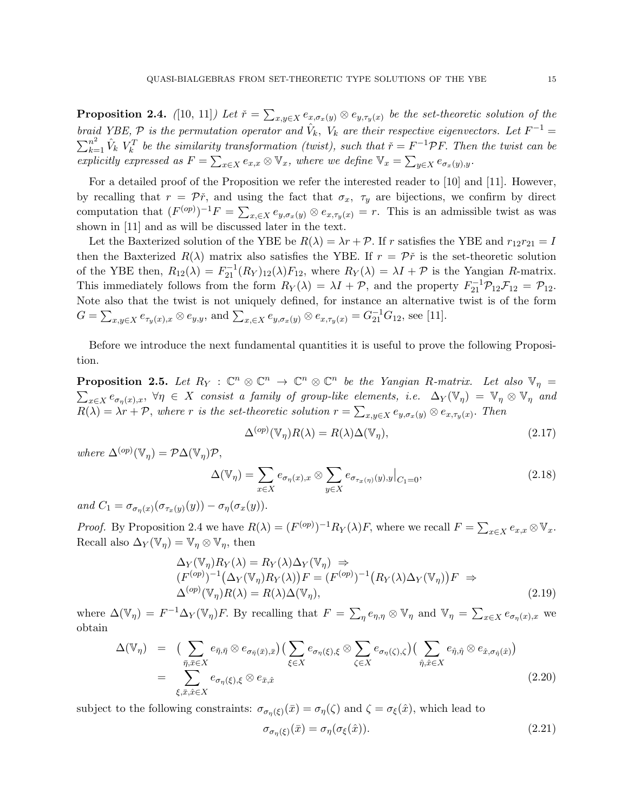**Proposition 2.4.** ([10, 11]) Let  $\check{r} = \sum_{x,y \in X} e_{x,\sigma_x(y)} \otimes e_{y,\tau_y(x)}$  be the set-theoretic solution of the braid YBE,  $\mathcal P$  is the permutation operator and  $\hat{V}_k$ ,  $V_k$  are their respective eigenvectors. Let  $F^{-1}$  =  $\sum_{k=1}^{n^2} \hat{V}_k$   $V_k^T$  be the similarity transformation (twist), such that  $\check{r} = F^{-1} \mathcal{P} F$ . Then the twist can be explicitly expressed as  $F = \sum_{x \in X} e_{x,x} \otimes \mathbb{V}_x$ , where we define  $\mathbb{V}_x = \sum_{y \in X} e_{\sigma_x(y),y}$ .

For a detailed proof of the Proposition we refer the interested reader to [10] and [11]. However, by recalling that  $r = \tilde{P}r$ , and using the fact that  $\sigma_x$ ,  $\tau_y$  are bijections, we confirm by direct computation that  $(F^{(op)})^{-1}F = \sum_{x,\in X} e_{y,\sigma_x(y)} \otimes e_{x,\tau_y(x)} = r$ . This is an admissible twist as was shown in [11] and as will be discussed later in the text.

Let the Baxterized solution of the YBE be  $R(\lambda) = \lambda r + \mathcal{P}$ . If r satisfies the YBE and  $r_{12}r_{21} = I$ then the Baxterized  $R(\lambda)$  matrix also satisfies the YBE. If  $r = \mathcal{P}\check{r}$  is the set-theoretic solution of the YBE then,  $R_{12}(\lambda) = F_{21}^{-1}(R_Y)_{12}(\lambda)F_{12}$ , where  $R_Y(\lambda) = \lambda I + \mathcal{P}$  is the Yangian R-matrix. This immediately follows from the form  $R_Y(\lambda) = \lambda I + \mathcal{P}$ , and the property  $F_{21}^{-1} \mathcal{P}_{12} \mathcal{F}_{12} = \mathcal{P}_{12}$ . Note also that the twist is not uniquely defined, for instance an alternative twist is of the form  $G = \sum_{x,y \in X} e_{\tau_y(x),x} \otimes e_{y,y}$ , and  $\sum_{x, \in X} e_{y,\sigma_x(y)} \otimes e_{x,\tau_y(x)} = G_{21}^{-1}G_{12}$ , see [11].

Before we introduce the next fundamental quantities it is useful to prove the following Proposition.

**Proposition 2.5.** Let  $R_Y : \mathbb{C}^n \otimes \mathbb{C}^n \to \mathbb{C}^n \otimes \mathbb{C}^n$  be the Yangian R-matrix. Let also  $\mathbb{V}_\eta =$  $\sum_{x\in X}e_{\sigma_{\eta}(x),x}$ ,  $\forall \eta \in X$  consist a family of group-like elements, i.e.  $\Delta_Y(\mathbb{V}_\eta) = \mathbb{V}_\eta \otimes \mathbb{V}_\eta$  and  $R(\lambda) = \lambda r + P$ , where r is the set-theoretic solution  $r = \sum_{x,y \in X} e_{y,\sigma_x(y)} \otimes e_{x,\tau_y(x)}$ . Then

$$
\Delta^{(op)}(\mathbb{V}_{\eta})R(\lambda) = R(\lambda)\Delta(\mathbb{V}_{\eta}),\tag{2.17}
$$

where  $\Delta^{(op)}(\mathbb{V}_\eta) = \mathcal{P}\Delta(\mathbb{V}_\eta)\mathcal{P},$ 

$$
\Delta(\mathbb{V}_{\eta}) = \sum_{x \in X} e_{\sigma_{\eta}(x), x} \otimes \sum_{y \in X} e_{\sigma_{\tau_x(\eta)}(y), y} \big|_{C_1 = 0},
$$
\n(2.18)

and  $C_1 = \sigma_{\sigma_{\eta}(x)}(\sigma_{\tau_x(y)}(y)) - \sigma_{\eta}(\sigma_x(y)).$ 

*Proof.* By Proposition 2.4 we have  $R(\lambda) = (F^{(op)})^{-1}R_Y(\lambda)F$ , where we recall  $F = \sum_{x \in X} e_{x,x} \otimes V_x$ . Recall also  $\Delta_Y(\mathbb{V}_\eta) = \mathbb{V}_\eta \otimes \mathbb{V}_\eta$ , then

$$
\Delta_Y(\mathbb{V}_\eta) R_Y(\lambda) = R_Y(\lambda) \Delta_Y(\mathbb{V}_\eta) \Rightarrow
$$
  
\n
$$
(F^{(op)})^{-1} (\Delta_Y(\mathbb{V}_\eta) R_Y(\lambda)) F = (F^{(op)})^{-1} (R_Y(\lambda) \Delta_Y(\mathbb{V}_\eta)) F \Rightarrow
$$
  
\n
$$
\Delta^{(op)}(\mathbb{V}_\eta) R(\lambda) = R(\lambda) \Delta(\mathbb{V}_\eta),
$$
\n(2.19)

where  $\Delta(\mathbb{V}_\eta) = F^{-1}\Delta_Y(\mathbb{V}_\eta)F$ . By recalling that  $F = \sum_{\eta} e_{\eta,\eta} \otimes \mathbb{V}_\eta$  and  $\mathbb{V}_\eta = \sum_{x \in X} e_{\sigma_\eta(x),x}$  we obtain

$$
\Delta(\mathbb{V}_{\eta}) = \left( \sum_{\bar{\eta}, \bar{x} \in X} e_{\bar{\eta}, \bar{\eta}} \otimes e_{\sigma_{\bar{\eta}}(\bar{x}), \bar{x}} \right) \left( \sum_{\xi \in X} e_{\sigma_{\eta}(\xi), \xi} \otimes \sum_{\zeta \in X} e_{\sigma_{\eta}(\zeta), \zeta} \right) \left( \sum_{\hat{\eta}, \hat{x} \in X} e_{\hat{\eta}, \hat{\eta}} \otimes e_{\hat{x}, \sigma_{\hat{\eta}}(\hat{x})} \right)
$$
  
= 
$$
\sum_{\xi, \bar{x}, \hat{x} \in X} e_{\sigma_{\eta}(\xi), \xi} \otimes e_{\bar{x}, \hat{x}}
$$
(2.20)

subject to the following constraints:  $\sigma_{\sigma_{\eta}(\xi)}(\bar{x}) = \sigma_{\eta}(\zeta)$  and  $\zeta = \sigma_{\xi}(\hat{x})$ , which lead to

$$
\sigma_{\sigma_{\eta}(\xi)}(\bar{x}) = \sigma_{\eta}(\sigma_{\xi}(\hat{x})). \tag{2.21}
$$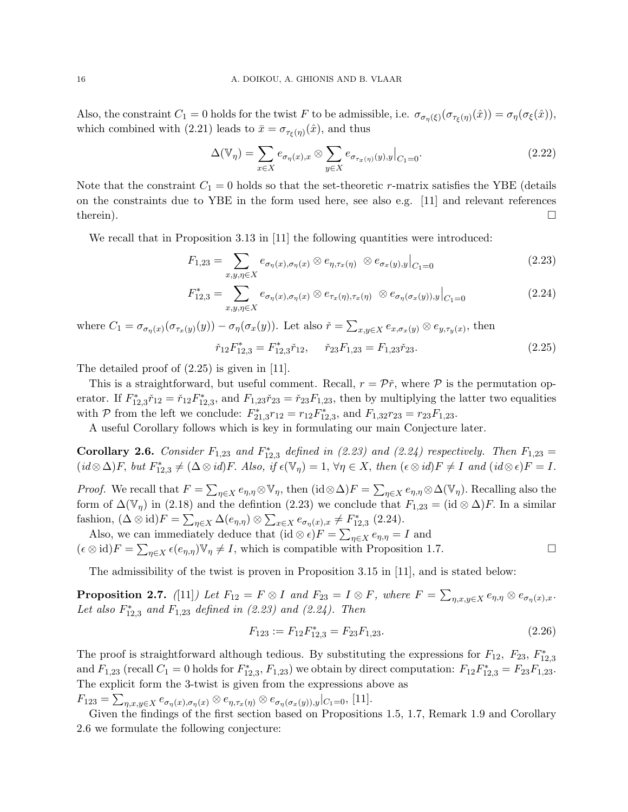Also, the constraint  $C_1 = 0$  holds for the twist F to be admissible, i.e.  $\sigma_{\sigma_{\eta}}(\xi)(\sigma_{\tau_{\xi}(\eta)}(\hat{x})) = \sigma_{\eta}(\sigma_{\xi}(\hat{x})),$ which combined with (2.21) leads to  $\bar{x} = \sigma_{\tau_{\xi}(\eta)}(\hat{x})$ , and thus

$$
\Delta(\mathbb{V}_{\eta}) = \sum_{x \in X} e_{\sigma_{\eta}(x), x} \otimes \sum_{y \in X} e_{\sigma_{\tau_x(\eta)}(y), y} \big|_{C_1 = 0}.
$$
\n(2.22)

Note that the constraint  $C_1 = 0$  holds so that the set-theoretic r-matrix satisfies the YBE (details on the constraints due to YBE in the form used here, see also e.g. [11] and relevant references therein).  $\square$ 

We recall that in Proposition 3.13 in [11] the following quantities were introduced:

$$
F_{1,23} = \sum_{x,y,\eta \in X} e_{\sigma_{\eta}(x),\sigma_{\eta}(x)} \otimes e_{\eta,\tau_x(\eta)} \otimes e_{\sigma_x(y),y} \big|_{C_1=0}
$$
\n(2.23)

$$
F_{12,3}^* = \sum_{x,y,\eta \in X} e_{\sigma_\eta(x),\sigma_\eta(x)} \otimes e_{\tau_x(\eta),\tau_x(\eta)} \otimes e_{\sigma_\eta(\sigma_x(y)),y} \Big|_{C_1=0}
$$
 (2.24)

where  $C_1 = \sigma_{\sigma_{\eta}(x)}(\sigma_{\tau_x(y)}(y)) - \sigma_{\eta}(\sigma_x(y))$ . Let also  $\check{r} = \sum_{x,y \in X} e_{x,\sigma_x(y)} \otimes e_{y,\tau_y(x)}$ , then

$$
\check{r}_{12}F_{12,3}^* = F_{12,3}^*\check{r}_{12}, \quad \check{r}_{23}F_{1,23} = F_{1,23}\check{r}_{23}.
$$
\n(2.25)

The detailed proof of (2.25) is given in [11].

This is a straightforward, but useful comment. Recall,  $r = \mathcal{P}\check{r}$ , where  $\mathcal P$  is the permutation operator. If  $F_{12,3}^*$  $\tilde{r}_{12} = \tilde{r}_{12}F_{12,3}^*$ , and  $F_{1,23}\tilde{r}_{23} = \tilde{r}_{23}F_{1,23}$ , then by multiplying the latter two equalities with  $P$  from the left we conclude:  $F_{21,3}^* r_{12} = r_{12} F_{12,3}^*$ , and  $F_{1,32} r_{23} = r_{23} F_{1,23}$ .

A useful Corollary follows which is key in formulating our main Conjecture later.

**Corollary 2.6.** Consider  $F_{1,23}$  and  $F_{12,3}^*$  defined in (2.23) and (2.24) respectively. Then  $F_{1,23}$  =  $(id \otimes \Delta)F$ , but  $F_{12,3}^* \neq (\Delta \otimes id)F$ . Also, if  $\epsilon(\mathbb{V}_\eta) = 1$ ,  $\forall \eta \in X$ , then  $(\epsilon \otimes id)F \neq I$  and  $(id \otimes \epsilon)F = I$ .

*Proof.* We recall that  $F = \sum_{\eta \in X} e_{\eta,\eta} \otimes \mathbb{V}_{\eta}$ , then  $(\mathrm{id} \otimes \Delta)F = \sum_{\eta \in X} e_{\eta,\eta} \otimes \Delta(\mathbb{V}_{\eta})$ . Recalling also the form of  $\Delta(\mathbb{V}_\eta)$  in (2.18) and the defintion (2.23) we conclude that  $F_{1,23} = (\mathrm{id} \otimes \Delta)F$ . In a similar fashion,  $(\Delta \otimes id)F = \sum_{\eta \in X} \Delta(e_{\eta,\eta}) \otimes \sum_{x \in X} e_{\sigma_{\eta}(x),x} \neq F_{12,3}^{*}$  (2.24).

Also, we can immediately deduce that  $(id \otimes \epsilon)F = \sum_{\eta \in X} e_{\eta,\eta} = I$  and  $(\epsilon \otimes id)F = \sum_{\eta \in X} \epsilon(e_{\eta,\eta}) \mathbb{V}_{\eta} \neq I$ , which is compatible with Proposition 1.7.

The admissibility of the twist is proven in Proposition 3.15 in [11], and is stated below:

**Proposition 2.7.** ([11]) Let  $F_{12} = F \otimes I$  and  $F_{23} = I \otimes F$ , where  $F = \sum_{\eta,x,y \in X} e_{\eta,\eta} \otimes e_{\sigma_{\eta}(x),x}$ . Let also  $F_{12,3}^*$  and  $F_{1,23}$  defined in (2.23) and (2.24). Then

$$
F_{123} := F_{12} F_{12,3}^* = F_{23} F_{1,23}.
$$
\n
$$
(2.26)
$$

The proof is straightforward although tedious. By substituting the expressions for  $F_{12}$ ,  $F_{23}$ ,  $F_{12,3}^*$ and  $F_{1,23}$  (recall  $C_1 = 0$  holds for  $F_{12,3}^*$ ,  $F_{1,23}$ ) we obtain by direct computation:  $F_{12}F_{12,3}^* = F_{23}F_{1,23}$ . The explicit form the 3-twist is given from the expressions above as

 $F_{123} = \sum_{\eta,x,y \in X} e_{\sigma_{\eta}(x),\sigma_{\eta}(x)} \otimes e_{\eta,\tau_x(\eta)} \otimes e_{\sigma_{\eta}(\sigma_x(y)),y} |_{C_1=0},$  [11].

Given the findings of the first section based on Propositions 1.5, 1.7, Remark 1.9 and Corollary 2.6 we formulate the following conjecture: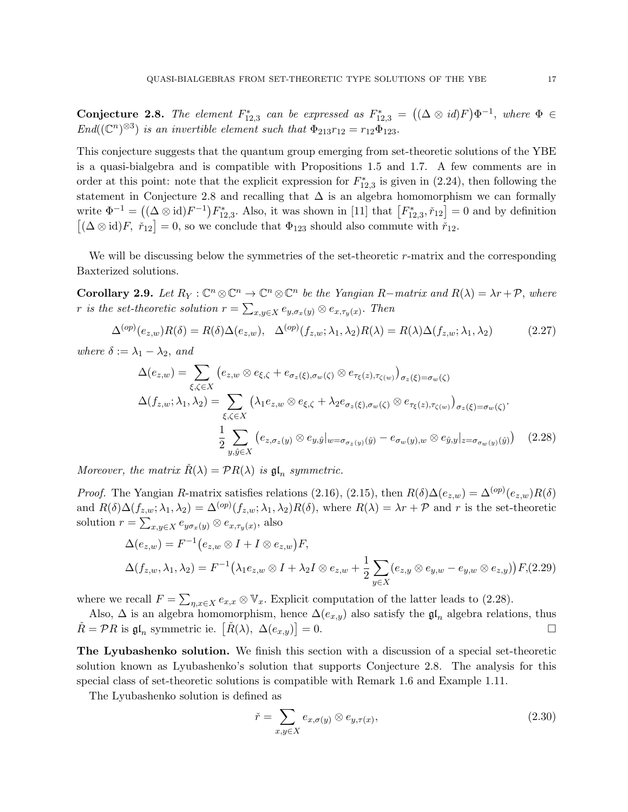Conjecture 2.8. The element  $F_{12,3}^*$  can be expressed as  $F_{12,3}^* = ((\Delta \otimes id)F)\Phi^{-1}$ , where  $\Phi \in$  $End((\mathbb{C}^n)^{\otimes 3})$  is an invertible element such that  $\Phi_{213}r_{12} = r_{12}\Phi_{123}$ .

This conjecture suggests that the quantum group emerging from set-theoretic solutions of the YBE is a quasi-bialgebra and is compatible with Propositions 1.5 and 1.7. A few comments are in order at this point: note that the explicit expression for  $F_{12,3}^*$  is given in (2.24), then following the statement in Conjecture 2.8 and recalling that  $\Delta$  is an algebra homomorphism we can formally write  $\Phi^{-1} = ((\Delta \otimes id)F^{-1})F_{12,3}^*$ . Also, it was shown in [11] that  $[F_{12,3}^*, \tilde{r}_{12}] = 0$  and by definition  $[(\Delta \otimes id)F, \check{r}_{12}] = 0$ , so we conclude that  $\Phi_{123}$  should also commute with  $\check{r}_{12}$ .

We will be discussing below the symmetries of the set-theoretic  $r$ -matrix and the corresponding Baxterized solutions.

**Corollary 2.9.** Let  $R_Y : \mathbb{C}^n \otimes \mathbb{C}^n \to \mathbb{C}^n \otimes \mathbb{C}^n$  be the Yangian R-matrix and  $R(\lambda) = \lambda r + \mathcal{P}$ , where r is the set-theoretic solution  $r = \sum_{x,y \in X} e_{y,\sigma_x(y)} \otimes e_{x,\tau_y(x)}$ . Then

$$
\Delta^{(op)}(e_{z,w})R(\delta) = R(\delta)\Delta(e_{z,w}), \quad \Delta^{(op)}(f_{z,w};\lambda_1,\lambda_2)R(\lambda) = R(\lambda)\Delta(f_{z,w};\lambda_1,\lambda_2) \tag{2.27}
$$

where  $\delta := \lambda_1 - \lambda_2$ , and

$$
\Delta(e_{z,w}) = \sum_{\xi,\zeta \in X} \left( e_{z,w} \otimes e_{\xi,\zeta} + e_{\sigma_z(\xi),\sigma_w(\zeta)} \otimes e_{\tau_{\xi}(z),\tau_{\zeta(w)}} \right)_{\sigma_z(\xi) = \sigma_w(\zeta)}
$$
  

$$
\Delta(f_{z,w}; \lambda_1, \lambda_2) = \sum_{\xi,\zeta \in X} \left( \lambda_1 e_{z,w} \otimes e_{\xi,\zeta} + \lambda_2 e_{\sigma_z(\xi),\sigma_w(\zeta)} \otimes e_{\tau_{\xi}(z),\tau_{\zeta(w)}} \right)_{\sigma_z(\xi) = \sigma_w(\zeta)}.
$$
  

$$
\frac{1}{2} \sum_{y,\hat{y} \in X} \left( e_{z,\sigma_z(y)} \otimes e_{y,\hat{y}} \middle|_{w = \sigma_{\sigma_z(y)}(\hat{y})} - e_{\sigma_w(y),w} \otimes e_{\hat{y},y} \middle|_{z = \sigma_{\sigma_w(y)}(\hat{y})} \right) \tag{2.28}
$$

Moreover, the matrix  $\check{R}(\lambda) = \mathcal{P}R(\lambda)$  is  $\mathfrak{gl}_n$  symmetric.

*Proof.* The Yangian R-matrix satisfies relations (2.16), (2.15), then  $R(\delta)\Delta(e_{z,w}) = \Delta^{(op)}(e_{z,w})R(\delta)$ and  $R(\delta)\Delta(f_{z,w};\lambda_1,\lambda_2) = \Delta^{(op)}(f_{z,w};\lambda_1,\lambda_2)R(\delta)$ , where  $R(\lambda) = \lambda r + \mathcal{P}$  and r is the set-theoretic solution  $r = \sum_{x,y \in X} e_{y\sigma_x(y)} \otimes e_{x,\tau_y(x)}$ , also

$$
\Delta(e_{z,w}) = F^{-1}(e_{z,w} \otimes I + I \otimes e_{z,w})F,
$$
  

$$
\Delta(f_{z,w}, \lambda_1, \lambda_2) = F^{-1}(\lambda_1 e_{z,w} \otimes I + \lambda_2 I \otimes e_{z,w} + \frac{1}{2} \sum_{y \in X} (e_{z,y} \otimes e_{y,w} - e_{y,w} \otimes e_{z,y}))F,(2.29)
$$

where we recall  $F = \sum_{\eta,x \in X} e_{x,x} \otimes \mathbb{V}_x$ . Explicit computation of the latter leads to (2.28).

Also,  $\Delta$  is an algebra homomorphism, hence  $\Delta(e_{x,y})$  also satisfy the  $\mathfrak{gl}_n$  algebra relations, thus  $\check{R} = \mathcal{P}R$  is  $\mathfrak{gl}_n$  symmetric ie.  $\left[\check{R}(\lambda), \Delta(e_{x,y})\right]$  $= 0.$ 

The Lyubashenko solution. We finish this section with a discussion of a special set-theoretic solution known as Lyubashenko's solution that supports Conjecture 2.8. The analysis for this special class of set-theoretic solutions is compatible with Remark 1.6 and Example 1.11.

The Lyubashenko solution is defined as

$$
\check{r} = \sum_{x,y \in X} e_{x,\sigma(y)} \otimes e_{y,\tau(x)},\tag{2.30}
$$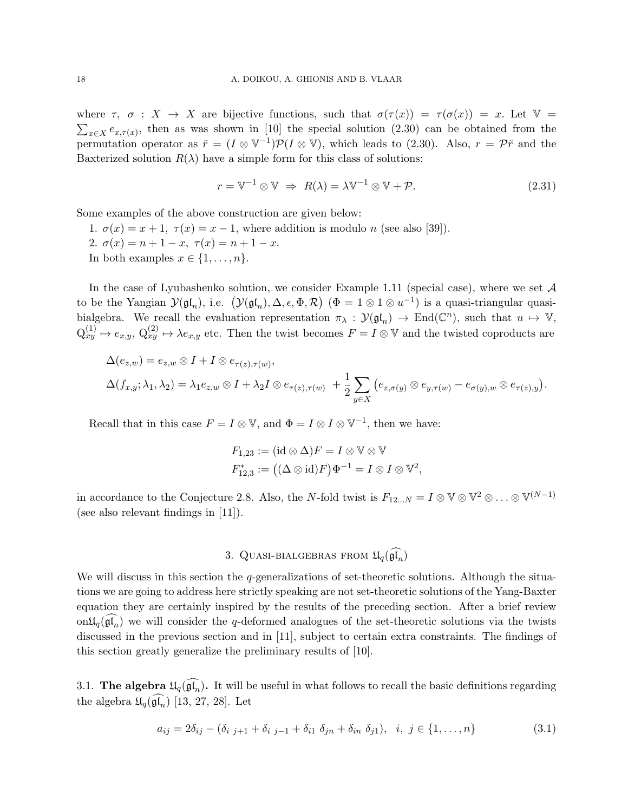where  $\tau$ ,  $\sigma : X \to X$  are bijective functions, such that  $\sigma(\tau(x)) = \tau(\sigma(x)) = x$ . Let  $\mathbb{V} =$  $\sum_{x \in X} e_{x,\tau(x)}$ , then as was shown in [10] the special solution (2.30) can be obtained from the permutation operator as  $\check{r} = (I \otimes V^{-1})\mathcal{P}(I \otimes V)$ , which leads to (2.30). Also,  $r = \mathcal{P}\check{r}$  and the Baxterized solution  $R(\lambda)$  have a simple form for this class of solutions:

$$
r = \mathbb{V}^{-1} \otimes \mathbb{V} \implies R(\lambda) = \lambda \mathbb{V}^{-1} \otimes \mathbb{V} + \mathcal{P}.
$$
 (2.31)

Some examples of the above construction are given below:

1.  $\sigma(x) = x + 1$ ,  $\tau(x) = x - 1$ , where addition is modulo *n* (see also [39]).

2.  $\sigma(x) = n + 1 - x$ ,  $\tau(x) = n + 1 - x$ .

In both examples  $x \in \{1, \ldots, n\}.$ 

In the case of Lyubashenko solution, we consider Example 1.11 (special case), where we set  $A$ to be the Yangian  $\mathcal{Y}(\mathfrak{gl}_n)$ , i.e.  $(\mathcal{Y}(\mathfrak{gl}_n), \Delta, \epsilon, \Phi, \mathcal{R})$   $(\Phi = 1 \otimes 1 \otimes u^{-1})$  is a quasi-triangular quasibialgebra. We recall the evaluation representation  $\pi_{\lambda}: \mathcal{Y}(\mathfrak{gl}_n) \to \text{End}(\mathbb{C}^n)$ , such that  $u \mapsto \mathbb{V}$ ,  $Q_{xy}^{(1)} \mapsto e_{x,y}, Q_{xy}^{(2)} \mapsto \lambda e_{x,y}$  etc. Then the twist becomes  $F = I \otimes V$  and the twisted coproducts are

$$
\Delta(e_{z,w}) = e_{z,w} \otimes I + I \otimes e_{\tau(z),\tau(w)},
$$
  

$$
\Delta(f_{x,y}; \lambda_1, \lambda_2) = \lambda_1 e_{z,w} \otimes I + \lambda_2 I \otimes e_{\tau(z),\tau(w)} + \frac{1}{2} \sum_{y \in X} (e_{z,\sigma(y)} \otimes e_{y,\tau(w)} - e_{\sigma(y),w} \otimes e_{\tau(z),y}).
$$

Recall that in this case  $F = I \otimes V$ , and  $\Phi = I \otimes I \otimes V^{-1}$ , then we have:

$$
F_{1,23} := (\mathrm{id} \otimes \Delta)F = I \otimes \mathbb{V} \otimes \mathbb{V}
$$
  

$$
F_{12,3}^* := ((\Delta \otimes \mathrm{id})F)\Phi^{-1} = I \otimes I \otimes \mathbb{V}^2,
$$

in accordance to the Conjecture 2.8. Also, the N-fold twist is  $F_{12...N} = I \otimes \mathbb{V} \otimes \mathbb{V}^2 \otimes \ldots \otimes \mathbb{V}^{(N-1)}$ (see also relevant findings in [11]).

## 3. QUASI-BIALGEBRAS FROM  $\mathfrak{U}_q(\widehat{\mathfrak{gl}_n})$

We will discuss in this section the q-generalizations of set-theoretic solutions. Although the situations we are going to address here strictly speaking are not set-theoretic solutions of the Yang-Baxter equation they are certainly inspired by the results of the preceding section. After a brief review on $\mathfrak{U}_q(\mathfrak{gl}_n)$  we will consider the q-deformed analogues of the set-theoretic solutions via the twists discussed in the previous section and in [11], subject to certain extra constraints. The findings of this section greatly generalize the preliminary results of [10].

3.1. The algebra  $\mathfrak{U}_q(\widehat{\mathfrak{gl}_n})$ . It will be useful in what follows to recall the basic definitions regarding the algebra  $\mathfrak{U}_q(\widehat{\mathfrak{gl}_n})$  [13, 27, 28]. Let

$$
a_{ij} = 2\delta_{ij} - (\delta_{i j+1} + \delta_{i j-1} + \delta_{i1} \delta_{jn} + \delta_{in} \delta_{j1}), \quad i, j \in \{1, ..., n\}
$$
\n(3.1)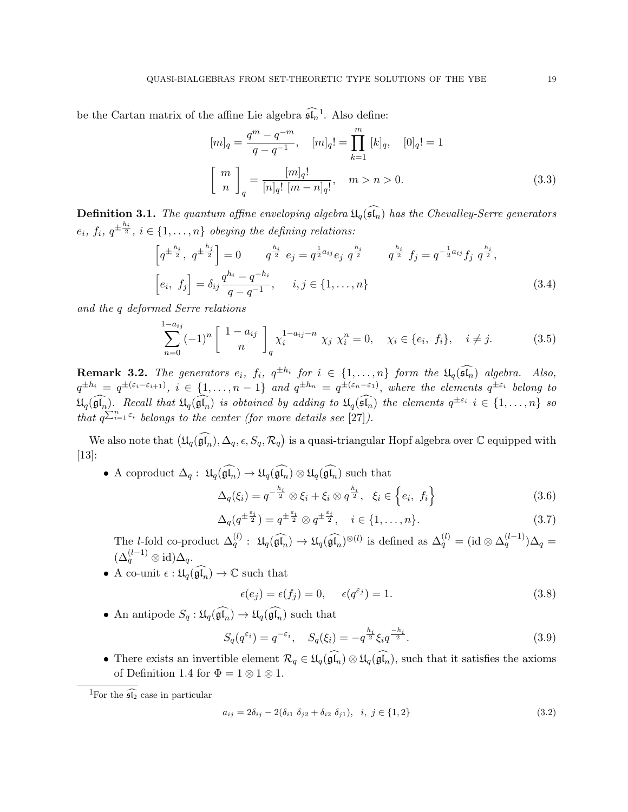be the Cartan matrix of the affine Lie algebra  $\widehat{\mathfrak{sl}_n}^1$ . Also define:

$$
[m]_q = \frac{q^m - q^{-m}}{q - q^{-1}}, \quad [m]_q! = \prod_{k=1}^m [k]_q, \quad [0]_q! = 1
$$
  

$$
\left[\begin{array}{c} m \\ n \end{array}\right]_q = \frac{[m]_q!}{[n]_q! [m - n]_q!}, \quad m > n > 0.
$$
 (3.3)

**Definition 3.1.** The quantum affine enveloping algebra  $\mathfrak{U}_q(\widehat{\mathfrak{sl}_n})$  has the Chevalley-Serre generators  $e_i, f_i, q^{\pm \frac{h_i}{2}}, i \in \{1, \ldots, n\}$  obeying the defining relations:

$$
\left[q^{\pm \frac{h_i}{2}}, q^{\pm \frac{h_j}{2}}\right] = 0 \qquad q^{\frac{h_i}{2}} e_j = q^{\frac{1}{2}a_{ij}} e_j q^{\frac{h_i}{2}} \qquad q^{\frac{h_i}{2}} f_j = q^{-\frac{1}{2}a_{ij}} f_j q^{\frac{h_i}{2}},
$$
  

$$
\left[e_i, f_j\right] = \delta_{ij} \frac{q^{h_i} - q^{-h_i}}{q - q^{-1}}, \qquad i, j \in \{1, \dots, n\}
$$
\n(3.4)

and the q deformed Serre relations

$$
\sum_{n=0}^{1-a_{ij}} (-1)^n \begin{bmatrix} 1-a_{ij} \\ n \end{bmatrix}_q \chi_i^{1-a_{ij}-n} \chi_j \chi_i^n = 0, \quad \chi_i \in \{e_i, f_i\}, \quad i \neq j. \tag{3.5}
$$

**Remark 3.2.** The generators  $e_i$ ,  $f_i$ ,  $q^{\pm h_i}$  for  $i \in \{1, ..., n\}$  form the  $\mathfrak{U}_q(\widehat{\mathfrak{sl}_n})$  algebra. Also,  $q^{\pm h_i} = q^{\pm (\varepsilon_i - \varepsilon_{i+1})}$ ,  $i \in \{1, \ldots, n-1\}$  and  $q^{\pm h_n} = q^{\pm (\varepsilon_n - \varepsilon_1)}$ , where the elements  $q^{\pm \varepsilon_i}$  belong to  $\mathfrak{U}_q(\widehat{\mathfrak{gl}_n})$ . Recall that  $\mathfrak{U}_q(\widehat{\mathfrak{gl}_n})$  is obtained by adding to  $\mathfrak{U}_q(\widehat{\mathfrak{sl}_n})$  the elements  $q^{\pm \varepsilon_i}$   $i \in \{1, \ldots, n\}$  so that  $q^{\sum_{i=1}^{n} \varepsilon_i}$  belongs to the center (for more details see [27]).

We also note that  $(\mathfrak{U}_q(\widehat{\mathfrak{gl}_n}), \Delta_q, \epsilon, S_q, \mathcal{R}_q)$  is a quasi-triangular Hopf algebra over  $\mathbb C$  equipped with [13]:

• A coproduct  $\Delta_q$ :  $\mathfrak{U}_q(\widehat{\mathfrak{gl}_n}) \to \mathfrak{U}_q(\widehat{\mathfrak{gl}_n}) \otimes \mathfrak{U}_q(\widehat{\mathfrak{gl}_n})$  such that

$$
\Delta_q(\xi_i) = q^{-\frac{h_i}{2}} \otimes \xi_i + \xi_i \otimes q^{\frac{h_i}{2}}, \quad \xi_i \in \left\{ e_i, f_i \right\} \tag{3.6}
$$

$$
\Delta_q(q^{\pm \frac{\varepsilon_i}{2}}) = q^{\pm \frac{\varepsilon_i}{2}} \otimes q^{\pm \frac{\varepsilon_i}{2}}, \quad i \in \{1, \dots, n\}.
$$
\n(3.7)

The *l*-fold co-product  $\Delta_q^{(l)}$ :  $\mathfrak{U}_q(\widehat{\mathfrak{gl}_n}) \to \mathfrak{U}_q(\widehat{\mathfrak{gl}_n})^{\otimes (l)}$  is defined as  $\Delta_q^{(l)} = (\text{id} \otimes \Delta_q^{(l-1)})\Delta_q =$  $(\Delta_q^{(l-1)} \otimes id)\Delta_q.$ 

• A co-unit  $\epsilon : \mathfrak{U}_q(\widehat{\mathfrak{gl}_n}) \to \mathbb{C}$  such that

$$
\epsilon(e_j) = \epsilon(f_j) = 0, \quad \epsilon(q^{\varepsilon_j}) = 1.
$$
\n(3.8)

• An antipode  $S_q : \mathfrak{U}_q(\widehat{\mathfrak{gl}_n}) \to \mathfrak{U}_q(\widehat{\mathfrak{gl}_n})$  such that

$$
S_q(q^{\varepsilon_i}) = q^{-\varepsilon_i}, \quad S_q(\xi_i) = -q^{\frac{h_i}{2}} \xi_i q^{\frac{-h_i}{2}}.
$$
\n
$$
(3.9)
$$

• There exists an invertible element  $\mathcal{R}_q \in \mathfrak{U}_q(\mathfrak{gl}_n) \otimes \mathfrak{U}_q(\mathfrak{gl}_n)$ , such that it satisfies the axioms of Definition 1.4 for  $\Phi = 1 \otimes 1 \otimes 1$ .

$$
a_{ij} = 2\delta_{ij} - 2(\delta_{i1} \delta_{j2} + \delta_{i2} \delta_{j1}), \quad i, j \in \{1, 2\}
$$
\n
$$
(3.2)
$$

<sup>&</sup>lt;sup>1</sup>For the  $\widehat{\mathfrak{sl}_2}$  case in particular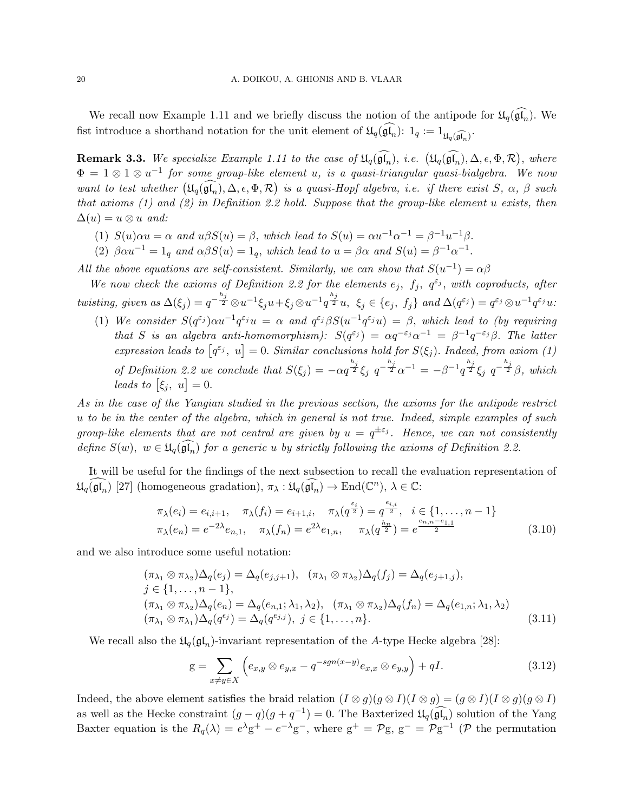We recall now Example 1.11 and we briefly discuss the notion of the antipode for  $\mathfrak{U}_q(\widehat{\mathfrak{gl}_n})$ . We fist introduce a shorthand notation for the unit element of  $\mathfrak{U}_q(\mathfrak{gl}_n)$ :  $1_q := 1_{\mathfrak{U}_q(\widehat{\mathfrak{gl}_n})}$ .

**Remark 3.3.** We specialize Example 1.11 to the case of  $\mathfrak{U}_q(\mathfrak{gl}_n)$ , i.e.  $(\mathfrak{U}_q(\mathfrak{gl}_n), \Delta, \epsilon, \Phi, \mathcal{R})$ , where  $\Phi = 1 \otimes 1 \otimes u^{-1}$  for some group-like element u, is a quasi-triangular quasi-bialgebra. We now want to test whether  $(\mathfrak{U}_q(\mathfrak{gl}_n), \Delta, \epsilon, \Phi, \mathcal{R})$  is a quasi-Hopf algebra, i.e. if there exist  $S, \alpha, \beta$  such that axioms  $(1)$  and  $(2)$  in Definition 2.2 hold. Suppose that the group-like element u exists, then  $\Delta(u) = u \otimes u$  and:

- (1)  $S(u) \alpha u = \alpha$  and  $u\beta S(u) = \beta$ , which lead to  $S(u) = \alpha u^{-1} \alpha^{-1} = \beta^{-1} u^{-1} \beta$ .
- (2)  $\beta \alpha u^{-1} = 1_q$  and  $\alpha \beta S(u) = 1_q$ , which lead to  $u = \beta \alpha$  and  $S(u) = \beta^{-1} \alpha^{-1}$ .
- All the above equations are self-consistent. Similarly, we can show that  $S(u^{-1}) = \alpha \beta$

We now check the axioms of Definition 2.2 for the elements  $e_j$ ,  $f_j$ ,  $q^{\varepsilon_j}$ , with coproducts, after twisting, given as  $\Delta(\xi_j) = q^{-\frac{h_j}{2}} \otimes u^{-1} \xi_j u + \xi_j \otimes u^{-1} q^{\frac{h_j}{2}} u$ ,  $\xi_j \in \{e_j, f_j\}$  and  $\Delta(q^{\varepsilon_j}) = q^{\varepsilon_j} \otimes u^{-1} q^{\varepsilon_j} u$ .

(1) We consider  $S(q^{\varepsilon_j})\alpha u^{-1}q^{\varepsilon_j}u = \alpha$  and  $q^{\varepsilon_j}\beta S(u^{-1}q^{\varepsilon_j}u) = \beta$ , which lead to (by requiring that S is an algebra anti-homomorphism):  $S(q^{\varepsilon_j}) = \alpha q^{-\varepsilon_j} \alpha^{-1} = \beta^{-1} q^{-\varepsilon_j} \beta$ . The latter expression leads to  $[q^{\varepsilon_j}, u] = 0$ . Similar conclusions hold for  $S(\xi_j)$ . Indeed, from axiom (1) of Definition 2.2 we conclude that  $S(\xi_j) = -\alpha q^{\frac{h_j}{2}} \xi_j q^{-\frac{h_j}{2}} \alpha^{-1} = -\beta^{-1} q^{\frac{h_j}{2}} \xi_j q^{-\frac{h_j}{2}} \beta$ , which leads to  $[\xi_j, u] = 0$ .

As in the case of the Yangian studied in the previous section, the axioms for the antipode restrict u to be in the center of the algebra, which in general is not true. Indeed, simple examples of such group-like elements that are not central are given by  $u = q^{\pm \varepsilon_j}$ . Hence, we can not consistently define  $S(w)$ ,  $w \in \mathfrak{U}_q(\mathfrak{gl}_n)$  for a generic u by strictly following the axioms of Definition 2.2.

It will be useful for the findings of the next subsection to recall the evaluation representation of  $\mathfrak{U}_q(\widehat{\mathfrak{gl}_n})$  [27] (homogeneous gradation),  $\pi_\lambda : \mathfrak{U}_q(\widehat{\mathfrak{gl}_n}) \to \text{End}(\mathbb{C}^n)$ ,  $\lambda \in \mathbb{C}$ :

$$
\pi_{\lambda}(e_i) = e_{i,i+1}, \quad \pi_{\lambda}(f_i) = e_{i+1,i}, \quad \pi_{\lambda}(q^{\frac{\varepsilon_i}{2}}) = q^{\frac{e_{i,i}}{2}}, \quad i \in \{1, \dots, n-1\} \n\pi_{\lambda}(e_n) = e^{-2\lambda} e_{n,1}, \quad \pi_{\lambda}(f_n) = e^{2\lambda} e_{1,n}, \quad \pi_{\lambda}(q^{\frac{h_n}{2}}) = e^{\frac{e_{n,n} - e_{1,1}}{2}}
$$
\n(3.10)

and we also introduce some useful notation:

$$
(\pi_{\lambda_1} \otimes \pi_{\lambda_2})\Delta_q(e_j) = \Delta_q(e_{j,j+1}), \quad (\pi_{\lambda_1} \otimes \pi_{\lambda_2})\Delta_q(f_j) = \Delta_q(e_{j+1,j}),
$$
  
\n
$$
j \in \{1, \ldots, n-1\},
$$
  
\n
$$
(\pi_{\lambda_1} \otimes \pi_{\lambda_2})\Delta_q(e_n) = \Delta_q(e_{n,1}; \lambda_1, \lambda_2), \quad (\pi_{\lambda_1} \otimes \pi_{\lambda_2})\Delta_q(f_n) = \Delta_q(e_{1,n}; \lambda_1, \lambda_2)
$$
  
\n
$$
(\pi_{\lambda_1} \otimes \pi_{\lambda_1})\Delta_q(q^{e_j}) = \Delta_q(q^{e_{j,j}}), \quad j \in \{1, \ldots, n\}.
$$
\n(3.11)

We recall also the  $\mathfrak{U}_q(\mathfrak{gl}_n)$ -invariant representation of the A-type Hecke algebra [28]:

$$
g = \sum_{x \neq y \in X} \left( e_{x,y} \otimes e_{y,x} - q^{-sgn(x-y)} e_{x,x} \otimes e_{y,y} \right) + qI. \tag{3.12}
$$

Indeed, the above element satisfies the braid relation  $(I \otimes g)(g \otimes I)(I \otimes g) = (g \otimes I)(I \otimes g)(g \otimes I)$ as well as the Hecke constraint  $(g - q)(g + q^{-1}) = 0$ . The Baxterized  $\mathfrak{U}_q(\widehat{\mathfrak{gl}_n})$  solution of the Yang Baxter equation is the  $R_q(\lambda) = e^{\lambda}g^+ - e^{-\lambda}g^-$ , where  $g^+ = \mathcal{P}g$ ,  $g^- = \mathcal{P}g^{-1}$  ( $\mathcal{P}$  the permutation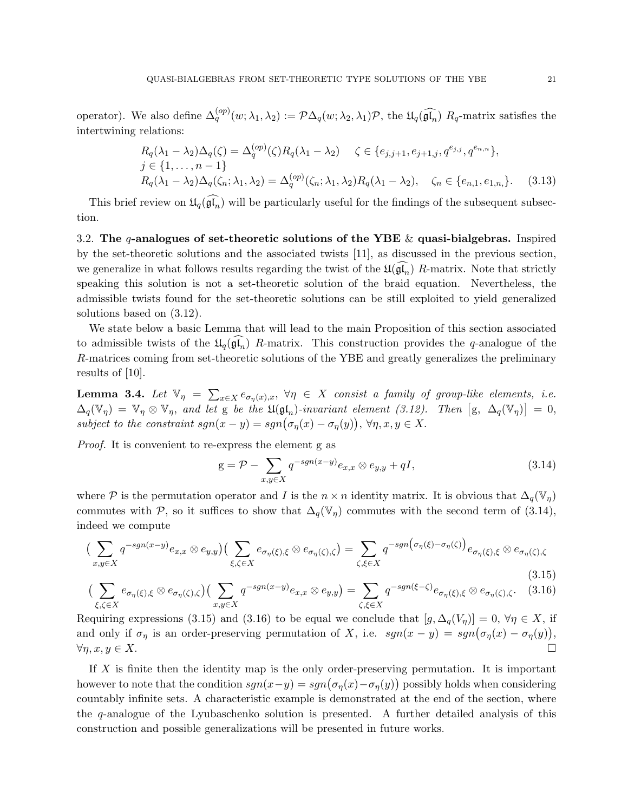operator). We also define  $\Delta_q^{(op)}(w; \lambda_1, \lambda_2) := \mathcal{P} \Delta_q(w; \lambda_2, \lambda_1) \mathcal{P}$ , the  $\mathfrak{U}_q(\widehat{\mathfrak{gl}_n})$   $R_q$ -matrix satisfies the intertwining relations:

$$
R_q(\lambda_1 - \lambda_2) \Delta_q(\zeta) = \Delta_q^{(op)}(\zeta) R_q(\lambda_1 - \lambda_2) \quad \zeta \in \{e_{j,j+1}, e_{j+1,j}, q^{e_{j,j}}, q^{e_{n,n}}\},
$$
  
\n
$$
j \in \{1, ..., n-1\}
$$
  
\n
$$
R_q(\lambda_1 - \lambda_2) \Delta_q(\zeta_n; \lambda_1, \lambda_2) = \Delta_q^{(op)}(\zeta_n; \lambda_1, \lambda_2) R_q(\lambda_1 - \lambda_2), \quad \zeta_n \in \{e_{n,1}, e_{1,n}\}.
$$
 (3.13)

This brief review on  $\mathfrak{U}_q(\widehat{\mathfrak{gl}_n})$  will be particularly useful for the findings of the subsequent subsection.

3.2. The q-analogues of set-theoretic solutions of the YBE  $\&$  quasi-bialgebras. Inspired by the set-theoretic solutions and the associated twists [11], as discussed in the previous section, we generalize in what follows results regarding the twist of the  $\mathfrak{U}(\mathfrak{gl}_n)$  R-matrix. Note that strictly speaking this solution is not a set-theoretic solution of the braid equation. Nevertheless, the admissible twists found for the set-theoretic solutions can be still exploited to yield generalized solutions based on (3.12).

We state below a basic Lemma that will lead to the main Proposition of this section associated to admissible twists of the  $\mathfrak{U}_q(\mathfrak{gl}_n)$  R-matrix. This construction provides the q-analogue of the R-matrices coming from set-theoretic solutions of the YBE and greatly generalizes the preliminary results of [10].

**Lemma 3.4.** Let  $\mathbb{V}_{\eta} = \sum_{x \in X} e_{\sigma_{\eta}(x),x}$ ,  $\forall \eta \in X$  consist a family of group-like elements, i.e.  $\Delta_q(\mathbb{V}_\eta) = \mathbb{V}_\eta \otimes \mathbb{V}_\eta$ , and let g be the  $\mathfrak{U}(\mathfrak{gl}_n)$ -invariant element (3.12). Then  $[\mathfrak{g}, \Delta_q(\mathbb{V}_\eta)] = 0$ , subject to the constraint  $sgn(x - y) = sgn(\sigma_{\eta}(x) - \sigma_{\eta}(y)), \forall \eta, x, y \in X.$ 

Proof. It is convenient to re-express the element g as

$$
g = \mathcal{P} - \sum_{x,y \in X} q^{-sgn(x-y)} e_{x,x} \otimes e_{y,y} + qI,
$$
\n(3.14)

where P is the permutation operator and I is the  $n \times n$  identity matrix. It is obvious that  $\Delta_q(\mathbb{V}_n)$ commutes with P, so it suffices to show that  $\Delta_q(\mathbb{V}_\eta)$  commutes with the second term of (3.14), indeed we compute

$$
\left(\sum_{x,y\in X} q^{-sgn(x-y)} e_{x,x} \otimes e_{y,y}\right) \left(\sum_{\xi,\zeta\in X} e_{\sigma_\eta(\xi),\xi} \otimes e_{\sigma_\eta(\zeta),\zeta}\right) = \sum_{\zeta,\xi\in X} q^{-sgn\big(\sigma_\eta(\xi)-\sigma_\eta(\zeta)\big)} e_{\sigma_\eta(\xi),\xi} \otimes e_{\sigma_\eta(\zeta),\zeta}
$$
\n(3.15)

$$
\left(\sum_{\xi,\zeta\in X}e_{\sigma_{\eta}(\xi),\xi}\otimes e_{\sigma_{\eta}(\zeta),\zeta}\right)\left(\sum_{x,y\in X}q^{-sgn(x-y)}e_{x,x}\otimes e_{y,y}\right)=\sum_{\zeta,\xi\in X}q^{-sgn(\xi-\zeta)}e_{\sigma_{\eta}(\xi),\xi}\otimes e_{\sigma_{\eta}(\zeta),\zeta}.\tag{3.16}
$$

Requiring expressions (3.15) and (3.16) to be equal we conclude that  $[g, \Delta_q(V_\eta)] = 0$ ,  $\forall \eta \in X$ , if and only if  $\sigma_{\eta}$  is an order-preserving permutation of X, i.e.  $sgn(x - y) = sgn(\sigma_{\eta}(x) - \sigma_{\eta}(y)),$  $\forall \eta, x, y \in X.$ 

If X is finite then the identity map is the only order-preserving permutation. It is important however to note that the condition  $sgn(x-y) = sgn(\sigma_{\eta}(x) - \sigma_{\eta}(y))$  possibly holds when considering countably infinite sets. A characteristic example is demonstrated at the end of the section, where the q-analogue of the Lyubaschenko solution is presented. A further detailed analysis of this construction and possible generalizations will be presented in future works.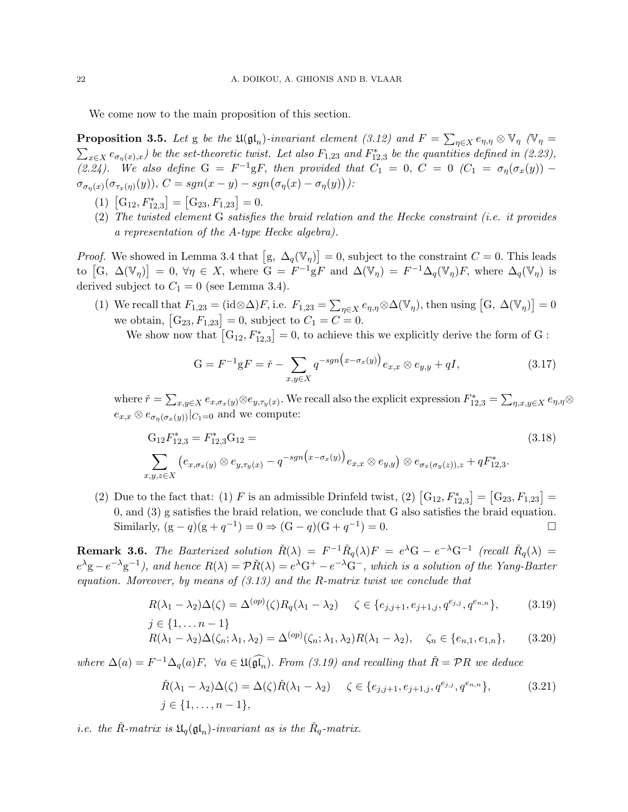We come now to the main proposition of this section.

**Proposition 3.5.** Let g be the  $\mathfrak{U}(\mathfrak{gl}_n)$ -invariant element (3.12) and  $F = \sum_{\eta \in X} e_{\eta,\eta} \otimes \mathbb{V}_{\eta}$  ( $\mathbb{V}_{\eta} =$  $\sum_{x \in X} e_{\sigma_n(x),x}$  be the set-theoretic twist. Let also  $F_{1,23}$  and  $F_{12,3}^*$  be the quantities defined in (2.23), (2.24). We also define  $G = F^{-1}gF$ , then provided that  $C_1 = 0$ ,  $C = 0$   $(C_1 = \sigma_{\eta}(\sigma_x(y))$  –  $\sigma_{\sigma_n(x)}(\sigma_{\tau_x(\eta)}(y)),\ C=sgn(x-y)-sgn(\sigma_\eta(x)-\sigma_\eta(y))).$ 

- (1)  $[G_{12}, F_{12,3}^*] = [G_{23}, F_{1,23}] = 0.$
- (2) The twisted element G satisfies the braid relation and the Hecke constraint (i.e. it provides a representation of the A-type Hecke algebra).

*Proof.* We showed in Lemma 3.4 that  $[g, \Delta_q(\mathbb{V}_\eta)] = 0$ , subject to the constraint  $C = 0$ . This leads to  $[G, \Delta(\mathbb{V}_\eta)]=0, \forall \eta \in X$ , where  $G = F^{-1}gF$  and  $\Delta(\mathbb{V}_\eta) = F^{-1}\Delta_q(\mathbb{V}_\eta)F$ , where  $\Delta_q(\mathbb{V}_\eta)$  is derived subject to  $C_1 = 0$  (see Lemma 3.4).

(1) We recall that  $F_{1,23} = (\text{id} \otimes \Delta)F$ , i.e.  $F_{1,23} = \sum_{\eta \in X} e_{\eta,\eta} \otimes \Delta(\mathbb{V}_{\eta})$ , then using  $[G, \Delta(\mathbb{V}_{\eta})] = 0$ we obtain,  $[G_{23}, F_{1,23}] = 0$ , subject to  $C_1 = C = 0$ .

We show now that  $[G_{12}, F_{12,3}] = 0$ , to achieve this we explicitly derive the form of G:

$$
G = F^{-1}gF = \check{r} - \sum_{x,y \in X} q^{-sgn(x-\sigma_x(y))} e_{x,x} \otimes e_{y,y} + qI,
$$
 (3.17)

where  $\check{r} = \sum_{x,y \in X} e_{x,\sigma_x(y)} \otimes e_{y,\tau_y(x)}$ . We recall also the explicit expression  $F_{12,3}^* = \sum_{\eta,x,y \in X} e_{\eta,\eta} \otimes e_{y,\eta}$  $e_{x,x} \otimes e_{\sigma_n(\sigma_x(y))}|_{C_1=0}$  and we compute:

$$
G_{12}F_{12,3}^* = F_{12,3}^* G_{12} =
$$
\n
$$
\sum_{x,y,z \in X} (e_{x,\sigma_x(y)} \otimes e_{y,\tau_y(x)} - q^{-sgn(x-\sigma_x(y))} e_{x,x} \otimes e_{y,y}) \otimes e_{\sigma_x(\sigma_y(z)),z} + qF_{12,3}^*.
$$
\n(3.18)

(2) Due to the fact that: (1) F is an admissible Drinfeld twist, (2)  $[G_{12}, F_{12,3}^*] = [G_{23}, F_{1,23}] =$ 0, and (3) g satisfies the braid relation, we conclude that G also satisfies the braid equation. Similarly,  $(g - q)(g + q^{-1}) = 0 \Rightarrow (G - q)(G + q^{-1}) = 0.$ 

**Remark 3.6.** The Baxterized solution  $\check{R}(\lambda) = F^{-1}\check{R}_q(\lambda)F = e^{\lambda}G - e^{-\lambda}G^{-1}$  (recall  $\check{R}_q(\lambda) =$  $e^{\lambda}$ g –  $e^{-\lambda}$ g<sup>-1</sup>), and hence  $R(\lambda) = \mathcal{P} \check{R}(\lambda) = e^{\lambda} G^+ - e^{-\lambda} G^-$ , which is a solution of the Yang-Baxter equation. Moreover, by means of  $(3.13)$  and the R-matrix twist we conclude that

$$
R(\lambda_1 - \lambda_2) \Delta(\zeta) = \Delta^{(op)}(\zeta) R_q(\lambda_1 - \lambda_2) \quad \zeta \in \{e_{j,j+1}, e_{j+1,j}, q^{e_{j,j}}, q^{e_{n,n}}\},\tag{3.19}
$$
  
 $j \in \{1, ..., n-1\}$ 

$$
R(\lambda_1 - \lambda_2) \Delta(\zeta_n; \lambda_1, \lambda_2) = \Delta^{(op)}(\zeta_n; \lambda_1, \lambda_2) R(\lambda_1 - \lambda_2), \quad \zeta_n \in \{e_{n,1}, e_{1,n}\},\tag{3.20}
$$

where  $\Delta(a) = F^{-1} \Delta_q(a) F$ ,  $\forall a \in \mathfrak{U}(\widehat{\mathfrak{gl}_n})$ . From (3.19) and recalling that  $\check{R} = \mathcal{P}R$  we deduce

$$
\tilde{R}(\lambda_1 - \lambda_2) \Delta(\zeta) = \Delta(\zeta) \tilde{R}(\lambda_1 - \lambda_2) \quad \zeta \in \{e_{j,j+1}, e_{j+1,j}, q^{e_{j,j}}, q^{e_{n,n}}\},\tag{3.21}
$$
\n
$$
j \in \{1, \ldots, n-1\},
$$

*i.e.* the  $\check{R}$ -matrix is  $\mathfrak{U}_q(\mathfrak{gl}_n)$ -invariant as is the  $\check{R}_q$ -matrix.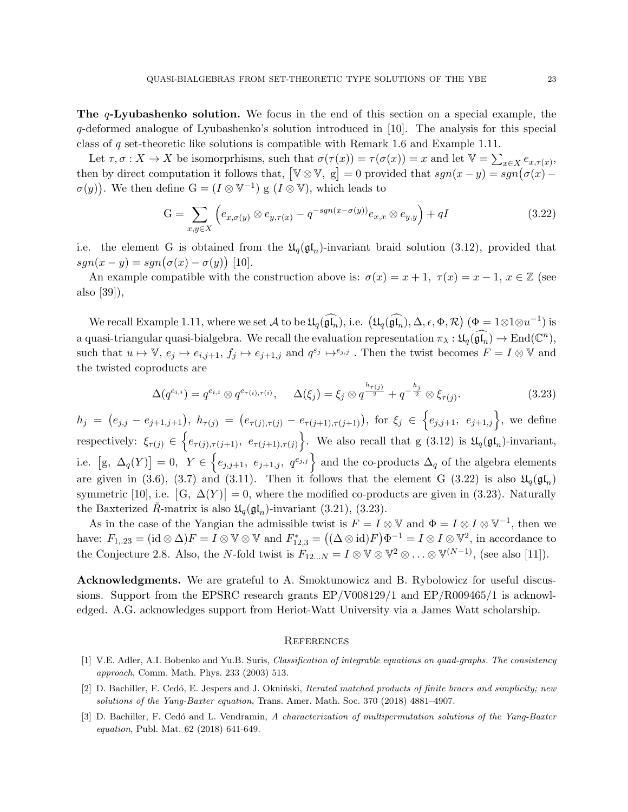**The**  $q$ **-Lyubashenko solution.** We focus in the end of this section on a special example, the q-deformed analogue of Lyubashenko's solution introduced in [10]. The analysis for this special class of q set-theoretic like solutions is compatible with Remark 1.6 and Example 1.11.

Let  $\tau, \sigma: X \to X$  be isomorprhisms, such that  $\sigma(\tau(x)) = \tau(\sigma(x)) = x$  and let  $\mathbb{V} = \sum_{x \in X} e_{x, \tau(x)}$ , then by direct computation it follows that,  $[\mathbb{V} \otimes \mathbb{V}, g] = 0$  provided that  $sgn(x - y) = sgn(\sigma(x) - y)$  $\sigma(y)$ ). We then define  $G = (I \otimes V^{-1})$  g  $(I \otimes V)$ , which leads to

$$
G = \sum_{x,y \in X} \left( e_{x,\sigma(y)} \otimes e_{y,\tau(x)} - q^{-sgn(x-\sigma(y))} e_{x,x} \otimes e_{y,y} \right) + qI \tag{3.22}
$$

i.e. the element G is obtained from the  $\mathfrak{U}_q(\mathfrak{gl}_n)$ -invariant braid solution (3.12), provided that  $sgn(x - y) = sgn(\sigma(x) - \sigma(y))$  [10].

An example compatible with the construction above is:  $\sigma(x) = x + 1$ ,  $\tau(x) = x - 1$ ,  $x \in \mathbb{Z}$  (see also [39]),

We recall Example 1.11, where we set  $\mathcal A$  to be  $\mathfrak{U}_q(\widehat{\mathfrak{gl}_n})$ , i.e.  $(\mathfrak{U}_q(\widehat{\mathfrak{gl}_n}), \Delta, \epsilon, \Phi, \mathcal{R})$   $(\Phi = 1 \otimes 1 \otimes u^{-1})$  is a quasi-triangular quasi-bialgebra. We recall the evaluation representation  $\pi_{\lambda}: \mathfrak{U}_q(\widehat{\mathfrak{gl}_n}) \to \text{End}(\mathbb{C}^n)$ , such that  $u \mapsto \mathbb{V}$ ,  $e_j \mapsto e_{i,j+1}$ ,  $f_j \mapsto e_{j+1,j}$  and  $q^{\varepsilon_j} \mapsto e_{j,j}$ . Then the twist becomes  $F = I \otimes \mathbb{V}$  and the twisted coproducts are

$$
\Delta(q^{e_{i,i}}) = q^{e_{i,i}} \otimes q^{e_{\tau(i),\tau(i)}}, \qquad \Delta(\xi_j) = \xi_j \otimes q^{\frac{h_{\tau(j)}}{2}} + q^{-\frac{h_j}{2}} \otimes \xi_{\tau(j)}.
$$
\n(3.23)

 $h_j = (e_{j,j} - e_{j+1,j+1}), h_{\tau(j)} = (e_{\tau(j),\tau(j)} - e_{\tau(j+1),\tau(j+1)}),$  for  $\xi_j \in \{e_{j,j+1}, e_{j+1,j}\},$  we define respectively:  $\xi_{\tau(j)} \in \left\{ e_{\tau(j),\tau(j+1)}, e_{\tau(j+1),\tau(j)} \right\}$ . We also recall that g (3.12) is  $\mathfrak{U}_q(\mathfrak{gl}_n)$ -invariant, i.e.  $[g, \Delta_q(Y)] = 0$ ,  $Y \in \{e_{j,j+1}, e_{j+1,j}, q^{e_{j,j}}\}$  and the co-products  $\Delta_q$  of the algebra elements are given in (3.6), (3.7) and (3.11). Then it follows that the element G (3.22) is also  $\mathfrak{U}_q(\mathfrak{gl}_n)$ symmetric [10], i.e.  $[G, \Delta(Y)] = 0$ , where the modified co-products are given in (3.23). Naturally the Baxterized  $\hat{R}$ -matrix is also  $\mathfrak{U}_q(\mathfrak{gl}_n)$ -invariant (3.21), (3.23).

As in the case of the Yangian the admissible twist is  $F = I \otimes V$  and  $\Phi = I \otimes I \otimes V^{-1}$ , then we have:  $F_{1,23} = (\mathrm{id} \otimes \Delta)F = I \otimes \mathbb{V} \otimes \mathbb{V}$  and  $F_{12,3}^* = ((\Delta \otimes \mathrm{id})F)\Phi^{-1} = I \otimes I \otimes \mathbb{V}^2$ , in accordance to the Conjecture 2.8. Also, the N-fold twist is  $F_{12...N} = I \otimes \mathbb{V} \otimes \mathbb{V}^2 \otimes \ldots \otimes \mathbb{V}^{(N-1)}$ , (see also [11]).

Acknowledgments. We are grateful to A. Smoktunowicz and B. Rybolowicz for useful discussions. Support from the EPSRC research grants EP/V008129/1 and EP/R009465/1 is acknowledged. A.G. acknowledges support from Heriot-Watt University via a James Watt scholarship.

#### **REFERENCES**

- [1] V.E. Adler, A.I. Bobenko and Yu.B. Suris, Classification of integrable equations on quad-graphs. The consistency approach, Comm. Math. Phys. 233 (2003) 513.
- [2] D. Bachiller, F. Cedó, E. Jespers and J. Okniński, *Iterated matched products of finite braces and simplicity; new* solutions of the Yang-Baxter equation, Trans. Amer. Math. Soc. 370 (2018) 4881–4907.
- [3] D. Bachiller, F. Cedó and L. Vendramin, A characterization of multipermutation solutions of the Yang-Baxter equation, Publ. Mat. 62 (2018) 641-649.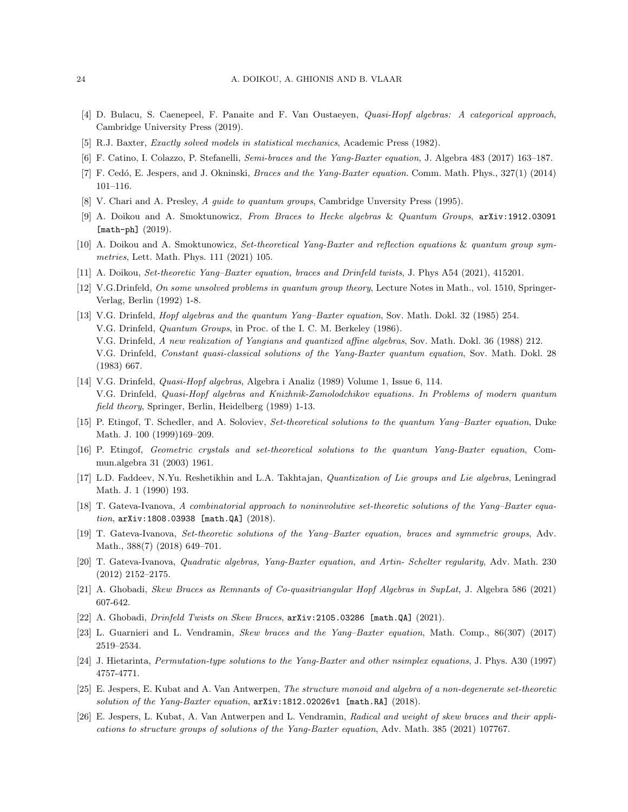- [4] D. Bulacu, S. Caenepeel, F. Panaite and F. Van Oustaeyen, Quasi-Hopf algebras: A categorical approach, Cambridge University Press (2019).
- [5] R.J. Baxter, Exactly solved models in statistical mechanics, Academic Press (1982).
- [6] F. Catino, I. Colazzo, P. Stefanelli, Semi-braces and the Yang-Baxter equation, J. Algebra 483 (2017) 163–187.
- [7] F. Cedó, E. Jespers, and J. Okninski, *Braces and the Yang-Baxter equation*. Comm. Math. Phys., 327(1) (2014) 101–116.
- [8] V. Chari and A. Presley, A guide to quantum groups, Cambridge Unversity Press (1995).
- [9] A. Doikou and A. Smoktunowicz, From Braces to Hecke algebras & Quantum Groups, arXiv:1912.03091 [math-ph] (2019).
- [10] A. Doikou and A. Smoktunowicz, Set-theoretical Yang-Baxter and reflection equations & quantum group symmetries, Lett. Math. Phys. 111 (2021) 105.
- [11] A. Doikou, Set-theoretic Yang–Baxter equation, braces and Drinfeld twists, J. Phys A54 (2021), 415201.
- [12] V.G.Drinfeld, On some unsolved problems in quantum group theory, Lecture Notes in Math., vol. 1510, Springer-Verlag, Berlin (1992) 1-8.
- [13] V.G. Drinfeld, Hopf algebras and the quantum Yang–Baxter equation, Sov. Math. Dokl. 32 (1985) 254. V.G. Drinfeld, Quantum Groups, in Proc. of the I. C. M. Berkeley (1986). V.G. Drinfeld, A new realization of Yangians and quantized affine algebras, Sov. Math. Dokl. 36 (1988) 212. V.G. Drinfeld, Constant quasi-classical solutions of the Yang-Baxter quantum equation, Sov. Math. Dokl. 28 (1983) 667.
- [14] V.G. Drinfeld, Quasi-Hopf algebras, Algebra i Analiz (1989) Volume 1, Issue 6, 114. V.G. Drinfeld, Quasi-Hopf algebras and Knizhnik-Zamolodchikov equations. In Problems of modern quantum field theory, Springer, Berlin, Heidelberg (1989) 1-13.
- [15] P. Etingof, T. Schedler, and A. Soloviev, Set-theoretical solutions to the quantum Yang–Baxter equation, Duke Math. J. 100 (1999)169–209.
- [16] P. Etingof, Geometric crystals and set-theoretical solutions to the quantum Yang-Baxter equation, Commun.algebra 31 (2003) 1961.
- [17] L.D. Faddeev, N.Yu. Reshetikhin and L.A. Takhtajan, Quantization of Lie groups and Lie algebras, Leningrad Math. J. 1 (1990) 193.
- [18] T. Gateva-Ivanova, A combinatorial approach to noninvolutive set-theoretic solutions of the Yang–Baxter equation, arXiv:1808.03938 [math.QA] (2018).
- [19] T. Gateva-Ivanova, Set-theoretic solutions of the Yang–Baxter equation, braces and symmetric groups, Adv. Math., 388(7) (2018) 649–701.
- [20] T. Gateva-Ivanova, Quadratic algebras, Yang-Baxter equation, and Artin- Schelter regularity, Adv. Math. 230 (2012) 2152–2175.
- [21] A. Ghobadi, Skew Braces as Remnants of Co-quasitriangular Hopf Algebras in SupLat, J. Algebra 586 (2021) 607-642.
- [22] A. Ghobadi, Drinfeld Twists on Skew Braces, arXiv:2105.03286 [math.QA] (2021).
- [23] L. Guarnieri and L. Vendramin, Skew braces and the Yang–Baxter equation, Math. Comp., 86(307) (2017) 2519–2534.
- [24] J. Hietarinta, Permutation-type solutions to the Yang-Baxter and other nsimplex equations, J. Phys. A30 (1997) 4757-4771.
- [25] E. Jespers, E. Kubat and A. Van Antwerpen, The structure monoid and algebra of a non-degenerate set-theoretic solution of the Yang-Baxter equation,  $arXiv:1812.02026v1$  [math.RA] (2018).
- [26] E. Jespers, L. Kubat, A. Van Antwerpen and L. Vendramin, Radical and weight of skew braces and their applications to structure groups of solutions of the Yang-Baxter equation, Adv. Math. 385 (2021) 107767.